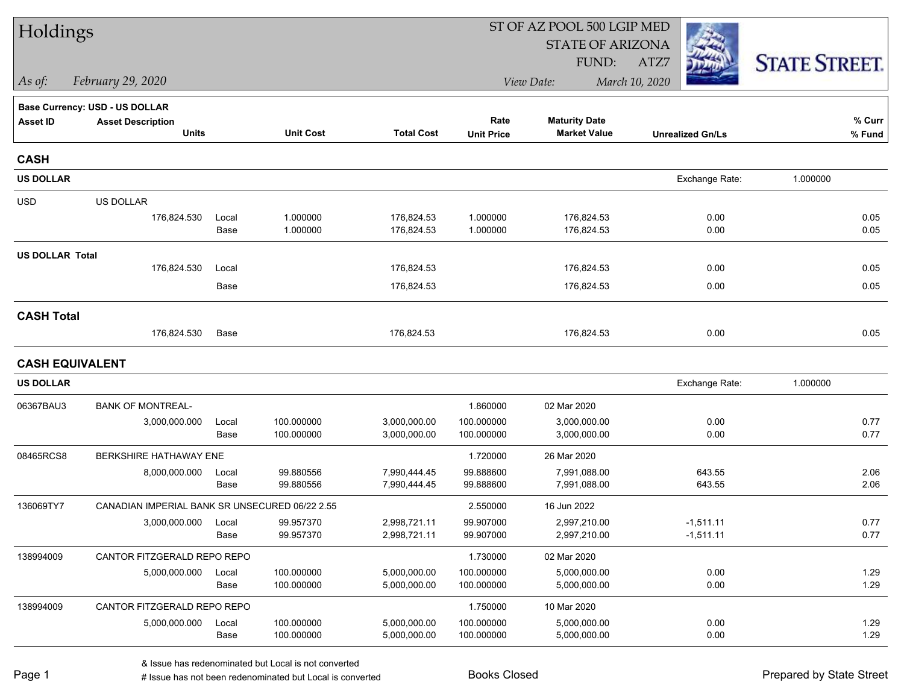| Holdings               |                                                |               |                        |                              |                        | ST OF AZ POOL 500 LGIP MED   |                            |                      |  |  |
|------------------------|------------------------------------------------|---------------|------------------------|------------------------------|------------------------|------------------------------|----------------------------|----------------------|--|--|
|                        |                                                |               |                        |                              |                        | <b>STATE OF ARIZONA</b>      |                            |                      |  |  |
|                        |                                                |               |                        |                              |                        | FUND:                        | ATZ7                       | <b>STATE STREET.</b> |  |  |
| As of:                 | February 29, 2020                              |               |                        |                              |                        | View Date:                   | March 10, 2020             |                      |  |  |
|                        | Base Currency: USD - US DOLLAR                 |               |                        |                              |                        |                              |                            |                      |  |  |
| <b>Asset ID</b>        | <b>Asset Description</b>                       |               |                        |                              | Rate                   | <b>Maturity Date</b>         |                            | % Curr               |  |  |
|                        | <b>Units</b>                                   |               | <b>Unit Cost</b>       | <b>Total Cost</b>            | <b>Unit Price</b>      | <b>Market Value</b>          | <b>Unrealized Gn/Ls</b>    | % Fund               |  |  |
| <b>CASH</b>            |                                                |               |                        |                              |                        |                              |                            |                      |  |  |
| <b>US DOLLAR</b>       |                                                |               |                        |                              |                        |                              | Exchange Rate:             | 1.000000             |  |  |
| <b>USD</b>             | US DOLLAR                                      |               |                        |                              |                        |                              |                            |                      |  |  |
|                        | 176,824.530                                    | Local         | 1.000000               | 176,824.53                   | 1.000000               | 176,824.53                   | 0.00                       | 0.05                 |  |  |
|                        |                                                | Base          | 1.000000               | 176,824.53                   | 1.000000               | 176,824.53                   | 0.00                       | 0.05                 |  |  |
| <b>US DOLLAR Total</b> |                                                |               |                        |                              |                        |                              |                            |                      |  |  |
|                        | 176,824.530                                    | Local         |                        | 176,824.53                   |                        | 176,824.53                   | 0.00                       | 0.05                 |  |  |
|                        |                                                | Base          |                        | 176,824.53                   |                        | 176,824.53                   | 0.00                       | 0.05                 |  |  |
| <b>CASH Total</b>      |                                                |               |                        |                              |                        |                              |                            |                      |  |  |
|                        | 176,824.530                                    | Base          |                        | 176,824.53                   |                        | 176,824.53                   | 0.00                       | 0.05                 |  |  |
| <b>CASH EQUIVALENT</b> |                                                |               |                        |                              |                        |                              |                            |                      |  |  |
| <b>US DOLLAR</b>       |                                                |               |                        |                              |                        |                              | Exchange Rate:             | 1.000000             |  |  |
| 06367BAU3              | <b>BANK OF MONTREAL-</b>                       |               |                        |                              | 1.860000               | 02 Mar 2020                  |                            |                      |  |  |
|                        | 3,000,000.000                                  | Local         | 100.000000             | 3,000,000.00                 | 100.000000             | 3,000,000.00                 | 0.00                       | 0.77                 |  |  |
|                        |                                                | Base          | 100.000000             | 3,000,000.00                 | 100.000000             | 3,000,000.00                 | 0.00                       | 0.77                 |  |  |
| 08465RCS8              | BERKSHIRE HATHAWAY ENE                         |               |                        |                              | 1.720000               | 26 Mar 2020                  |                            |                      |  |  |
|                        | 8,000,000.000                                  | Local         | 99.880556<br>99.880556 | 7,990,444.45<br>7,990,444.45 | 99.888600<br>99.888600 | 7,991,088.00<br>7,991,088.00 | 643.55<br>643.55           | 2.06<br>2.06         |  |  |
|                        |                                                | Base          |                        |                              |                        |                              |                            |                      |  |  |
| 136069TY7              | CANADIAN IMPERIAL BANK SR UNSECURED 06/22 2.55 |               |                        |                              | 2.550000               | 16 Jun 2022                  |                            |                      |  |  |
|                        | 3,000,000.000                                  | Local<br>Base | 99.957370<br>99.957370 | 2,998,721.11<br>2,998,721.11 | 99.907000<br>99.907000 | 2,997,210.00<br>2,997,210.00 | $-1,511.11$<br>$-1,511.11$ | 0.77<br>0.77         |  |  |
| 138994009              | CANTOR FITZGERALD REPO REPO                    |               |                        |                              | 1.730000               | 02 Mar 2020                  |                            |                      |  |  |
|                        | 5,000,000.000                                  | Local         | 100.000000             | 5,000,000.00                 | 100.000000             | 5,000,000.00                 | 0.00                       | 1.29                 |  |  |
|                        |                                                | Base          | 100.000000             | 5,000,000.00                 | 100.000000             | 5,000,000.00                 | 0.00                       | 1.29                 |  |  |
| 138994009              | CANTOR FITZGERALD REPO REPO                    |               |                        |                              | 1.750000               | 10 Mar 2020                  |                            |                      |  |  |
|                        | 5,000,000.000                                  | Local         | 100.000000             | 5,000,000.00                 | 100.000000             | 5,000,000.00                 | 0.00                       | 1.29                 |  |  |
|                        |                                                | Base          | 100.000000             | 5,000,000.00                 | 100.000000             | 5,000,000.00                 | 0.00                       | 1.29                 |  |  |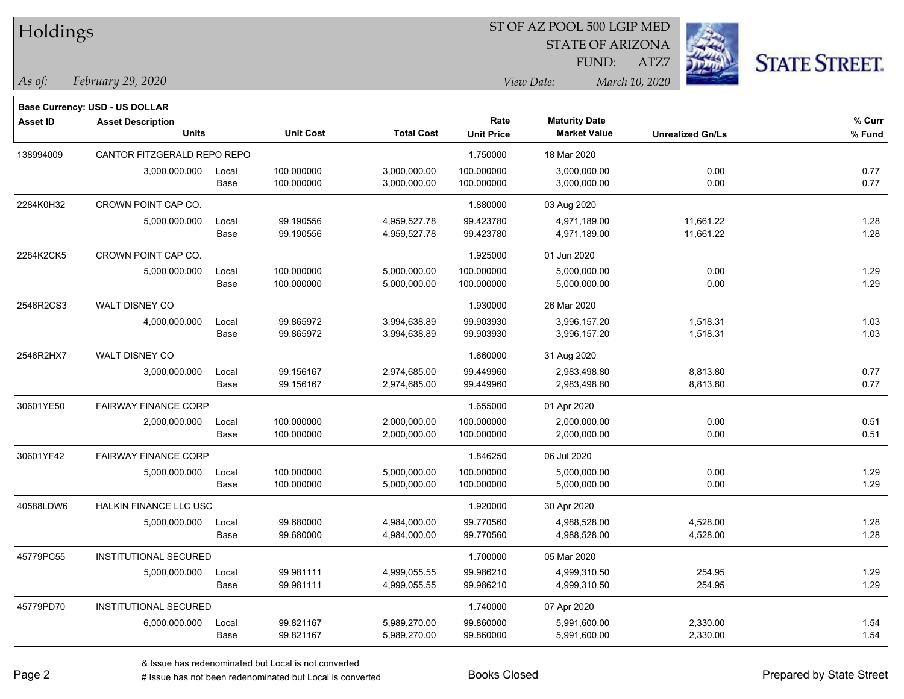| Holdings        |                                |       |                  | ST OF AZ POOL 500 LGIP MED |                   |                         |                         |                      |  |  |
|-----------------|--------------------------------|-------|------------------|----------------------------|-------------------|-------------------------|-------------------------|----------------------|--|--|
|                 |                                |       |                  |                            |                   | <b>STATE OF ARIZONA</b> | 240                     |                      |  |  |
|                 |                                |       |                  |                            |                   | FUND:                   | ATZ7                    | <b>STATE STREET.</b> |  |  |
| As of:          | February 29, 2020              |       |                  |                            |                   | View Date:              | March 10, 2020          |                      |  |  |
|                 | Base Currency: USD - US DOLLAR |       |                  |                            |                   |                         |                         |                      |  |  |
| <b>Asset ID</b> | <b>Asset Description</b>       |       |                  |                            | Rate              | <b>Maturity Date</b>    |                         | % Curr               |  |  |
|                 | <b>Units</b>                   |       | <b>Unit Cost</b> | <b>Total Cost</b>          | <b>Unit Price</b> | <b>Market Value</b>     | <b>Unrealized Gn/Ls</b> | % Fund               |  |  |
| 138994009       | CANTOR FITZGERALD REPO REPO    |       |                  |                            | 1.750000          | 18 Mar 2020             |                         |                      |  |  |
|                 | 3,000,000.000                  | Local | 100.000000       | 3,000,000.00               | 100.000000        | 3,000,000.00            | 0.00                    | 0.77                 |  |  |
|                 |                                | Base  | 100.000000       | 3,000,000.00               | 100.000000        | 3,000,000.00            | 0.00                    | 0.77                 |  |  |
| 2284K0H32       | CROWN POINT CAP CO.            |       |                  |                            | 1.880000          | 03 Aug 2020             |                         |                      |  |  |
|                 | 5,000,000.000                  | Local | 99.190556        | 4,959,527.78               | 99.423780         | 4,971,189.00            | 11,661.22               | 1.28                 |  |  |
|                 |                                | Base  | 99.190556        | 4,959,527.78               | 99.423780         | 4,971,189.00            | 11,661.22               | 1.28                 |  |  |
| 2284K2CK5       | CROWN POINT CAP CO.            |       |                  |                            | 1.925000          | 01 Jun 2020             |                         |                      |  |  |
|                 | 5,000,000.000                  | Local | 100.000000       | 5,000,000.00               | 100.000000        | 5,000,000.00            | 0.00                    | 1.29                 |  |  |
|                 |                                | Base  | 100.000000       | 5,000,000.00               | 100.000000        | 5,000,000.00            | 0.00                    | 1.29                 |  |  |
| 2546R2CS3       | WALT DISNEY CO                 |       |                  |                            | 1.930000          | 26 Mar 2020             |                         |                      |  |  |
|                 | 4,000,000.000                  | Local | 99.865972        | 3,994,638.89               | 99.903930         | 3,996,157.20            | 1,518.31                | 1.03                 |  |  |
|                 |                                | Base  | 99.865972        | 3,994,638.89               | 99.903930         | 3,996,157.20            | 1,518.31                | 1.03                 |  |  |
| 2546R2HX7       | WALT DISNEY CO                 |       |                  |                            | 1.660000          | 31 Aug 2020             |                         |                      |  |  |
|                 | 3,000,000.000                  | Local | 99.156167        | 2,974,685.00               | 99.449960         | 2,983,498.80            | 8,813.80                | 0.77                 |  |  |
|                 |                                | Base  | 99.156167        | 2,974,685.00               | 99.449960         | 2,983,498.80            | 8,813.80                | 0.77                 |  |  |
| 30601YE50       | <b>FAIRWAY FINANCE CORP</b>    |       |                  |                            | 1.655000          | 01 Apr 2020             |                         |                      |  |  |
|                 | 2,000,000.000                  | Local | 100.000000       | 2,000,000.00               | 100.000000        | 2,000,000.00            | 0.00                    | 0.51                 |  |  |
|                 |                                | Base  | 100.000000       | 2,000,000.00               | 100.000000        | 2,000,000.00            | 0.00                    | 0.51                 |  |  |
| 30601YF42       | <b>FAIRWAY FINANCE CORP</b>    |       |                  |                            | 1.846250          | 06 Jul 2020             |                         |                      |  |  |
|                 | 5,000,000.000                  | Local | 100.000000       | 5,000,000.00               | 100.000000        | 5,000,000.00            | 0.00                    | 1.29                 |  |  |
|                 |                                | Base  | 100.000000       | 5,000,000.00               | 100.000000        | 5,000,000.00            | 0.00                    | 1.29                 |  |  |
| 40588LDW6       | HALKIN FINANCE LLC USC         |       |                  |                            | 1.920000          | 30 Apr 2020             |                         |                      |  |  |
|                 | 5,000,000.000                  | Local | 99.680000        | 4,984,000.00               | 99.770560         | 4,988,528.00            | 4,528.00                | 1.28                 |  |  |
|                 |                                | Base  | 99.680000        | 4,984,000.00               | 99.770560         | 4,988,528.00            | 4,528.00                | 1.28                 |  |  |
| 45779PC55       | INSTITUTIONAL SECURED          |       |                  |                            | 1.700000          | 05 Mar 2020             |                         |                      |  |  |
|                 | 5,000,000.000                  | Local | 99.981111        | 4,999,055.55               | 99.986210         | 4,999,310.50            | 254.95                  | 1.29                 |  |  |
|                 |                                | Base  | 99.981111        | 4,999,055.55               | 99.986210         | 4,999,310.50            | 254.95                  | 1.29                 |  |  |
| 45779PD70       | INSTITUTIONAL SECURED          |       |                  |                            | 1.740000          | 07 Apr 2020             |                         |                      |  |  |
|                 | 6,000,000.000                  | Local | 99.821167        | 5,989,270.00               | 99.860000         | 5,991,600.00            | 2,330.00                | 1.54                 |  |  |
|                 |                                | Base  | 99.821167        | 5,989,270.00               | 99.860000         | 5,991,600.00            | 2,330.00                | 1.54                 |  |  |

 $\overline{\phantom{a}}$ 

 $\overline{\phantom{0}}$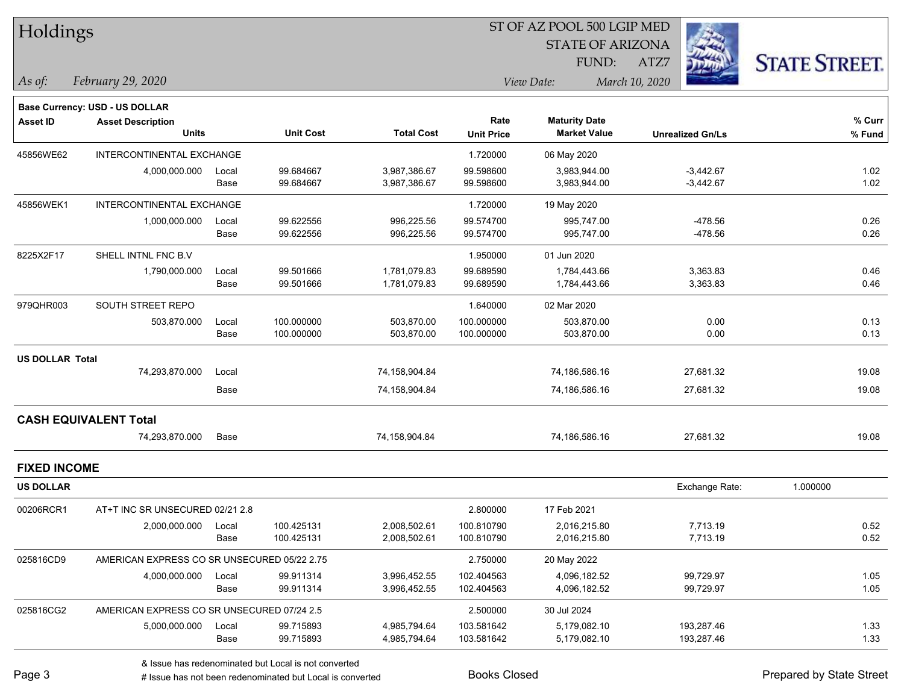| Holdings               |                                             |       |                  |                   |                   | ST OF AZ POOL 500 LGIP MED |                         |                      |  |
|------------------------|---------------------------------------------|-------|------------------|-------------------|-------------------|----------------------------|-------------------------|----------------------|--|
|                        |                                             |       |                  |                   |                   | <b>STATE OF ARIZONA</b>    |                         |                      |  |
|                        |                                             |       |                  |                   |                   | FUND:                      | ATZ7                    | <b>STATE STREET.</b> |  |
| As of:                 | February 29, 2020                           |       |                  |                   |                   | View Date:                 | March 10, 2020          |                      |  |
|                        | Base Currency: USD - US DOLLAR              |       |                  |                   |                   |                            |                         |                      |  |
| <b>Asset ID</b>        | <b>Asset Description</b>                    |       |                  |                   | Rate              | <b>Maturity Date</b>       |                         | % Curr               |  |
|                        | <b>Units</b>                                |       | <b>Unit Cost</b> | <b>Total Cost</b> | <b>Unit Price</b> | <b>Market Value</b>        | <b>Unrealized Gn/Ls</b> | % Fund               |  |
| 45856WE62              | INTERCONTINENTAL EXCHANGE                   |       |                  |                   | 1.720000          | 06 May 2020                |                         |                      |  |
|                        | 4,000,000.000                               | Local | 99.684667        | 3,987,386.67      | 99.598600         | 3,983,944.00               | $-3,442.67$             | 1.02                 |  |
|                        |                                             | Base  | 99.684667        | 3,987,386.67      | 99.598600         | 3,983,944.00               | $-3,442.67$             | 1.02                 |  |
| 45856WEK1              | INTERCONTINENTAL EXCHANGE                   |       |                  |                   | 1.720000          | 19 May 2020                |                         |                      |  |
|                        | 1,000,000.000                               | Local | 99.622556        | 996,225.56        | 99.574700         | 995,747.00                 | -478.56                 | 0.26                 |  |
|                        |                                             | Base  | 99.622556        | 996,225.56        | 99.574700         | 995,747.00                 | $-478.56$               | 0.26                 |  |
| 8225X2F17              | SHELL INTNL FNC B.V                         |       |                  |                   | 1.950000          | 01 Jun 2020                |                         |                      |  |
|                        | 1,790,000.000                               | Local | 99.501666        | 1,781,079.83      | 99.689590         | 1,784,443.66               | 3,363.83                | 0.46                 |  |
|                        |                                             | Base  | 99.501666        | 1,781,079.83      | 99.689590         | 1,784,443.66               | 3,363.83                | 0.46                 |  |
| 979QHR003              | SOUTH STREET REPO                           |       |                  |                   | 1.640000          | 02 Mar 2020                |                         |                      |  |
|                        | 503,870.000                                 | Local | 100.000000       | 503,870.00        | 100.000000        | 503,870.00                 | 0.00                    | 0.13                 |  |
|                        |                                             | Base  | 100.000000       | 503,870.00        | 100.000000        | 503,870.00                 | 0.00                    | 0.13                 |  |
| <b>US DOLLAR Total</b> |                                             |       |                  |                   |                   |                            |                         |                      |  |
|                        | 74,293,870.000                              | Local |                  | 74,158,904.84     |                   | 74,186,586.16              | 27,681.32               | 19.08                |  |
|                        |                                             | Base  |                  | 74,158,904.84     |                   | 74,186,586.16              | 27,681.32               | 19.08                |  |
|                        | <b>CASH EQUIVALENT Total</b>                |       |                  |                   |                   |                            |                         |                      |  |
|                        | 74,293,870.000                              | Base  |                  | 74,158,904.84     |                   | 74,186,586.16              | 27,681.32               | 19.08                |  |
| <b>FIXED INCOME</b>    |                                             |       |                  |                   |                   |                            |                         |                      |  |
| <b>US DOLLAR</b>       |                                             |       |                  |                   |                   |                            | Exchange Rate:          | 1.000000             |  |
| 00206RCR1              | AT+T INC SR UNSECURED 02/21 2.8             |       |                  |                   | 2.800000          | 17 Feb 2021                |                         |                      |  |
|                        | 2,000,000.000 Local                         |       | 100.425131       | 2,008,502.61      | 100.810790        | 2,016,215.80               | 7,713.19                | 0.52                 |  |
|                        |                                             | Base  | 100.425131       | 2,008,502.61      | 100.810790        | 2,016,215.80               | 7,713.19                | 0.52                 |  |
| 025816CD9              | AMERICAN EXPRESS CO SR UNSECURED 05/22 2.75 |       |                  |                   | 2.750000          | 20 May 2022                |                         |                      |  |
|                        | 4,000,000.000                               | Local | 99.911314        | 3,996,452.55      | 102.404563        | 4,096,182.52               | 99,729.97               | 1.05                 |  |
|                        |                                             | Base  | 99.911314        | 3,996,452.55      | 102.404563        | 4,096,182.52               | 99,729.97               | 1.05                 |  |
| 025816CG2              | AMERICAN EXPRESS CO SR UNSECURED 07/24 2.5  |       |                  |                   | 2.500000          | 30 Jul 2024                |                         |                      |  |
|                        | 5,000,000.000                               | Local | 99.715893        | 4,985,794.64      | 103.581642        | 5,179,082.10               | 193,287.46              | 1.33                 |  |
|                        |                                             | Base  | 99.715893        | 4,985,794.64      | 103.581642        | 5,179,082.10               | 193,287.46              | 1.33                 |  |

denote the redenominated but Local is converted Books Closed Prepared by State Street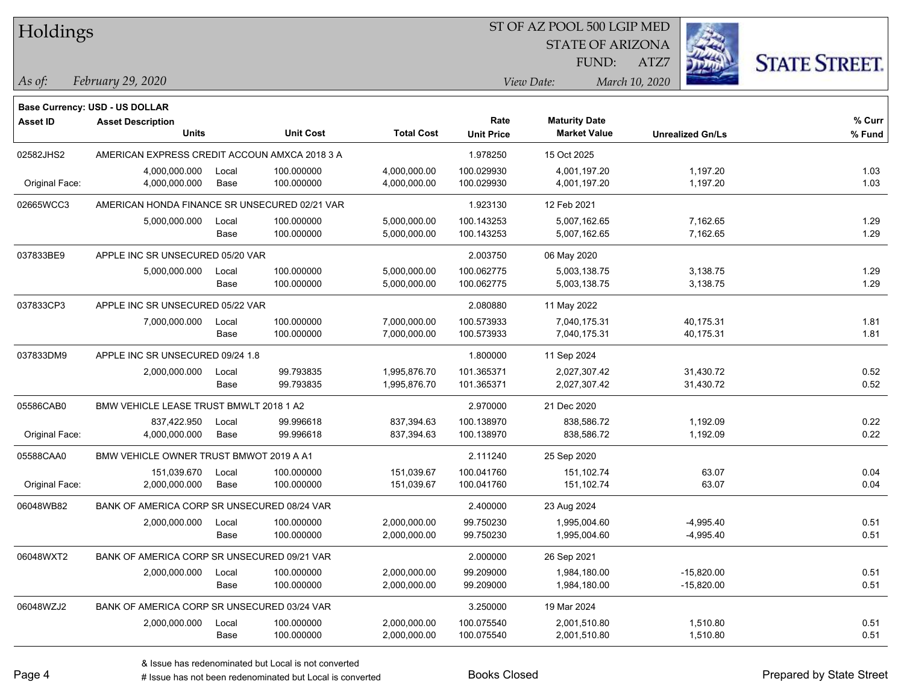| Holdings        |                                               |       |                  | ST OF AZ POOL 500 LGIP MED |                   |                         |                         |                      |  |  |
|-----------------|-----------------------------------------------|-------|------------------|----------------------------|-------------------|-------------------------|-------------------------|----------------------|--|--|
|                 |                                               |       |                  |                            |                   | <b>STATE OF ARIZONA</b> |                         |                      |  |  |
|                 |                                               |       |                  |                            |                   | FUND:                   | ATZ7                    | <b>STATE STREET.</b> |  |  |
| As of:          | February 29, 2020                             |       |                  |                            |                   | View Date:              | March 10, 2020          |                      |  |  |
|                 |                                               |       |                  |                            |                   |                         |                         |                      |  |  |
|                 | Base Currency: USD - US DOLLAR                |       |                  |                            | Rate              | <b>Maturity Date</b>    |                         | % Curr               |  |  |
| <b>Asset ID</b> | <b>Asset Description</b><br>Units             |       | <b>Unit Cost</b> | <b>Total Cost</b>          | <b>Unit Price</b> | <b>Market Value</b>     | <b>Unrealized Gn/Ls</b> | % Fund               |  |  |
| 02582JHS2       | AMERICAN EXPRESS CREDIT ACCOUN AMXCA 2018 3 A |       |                  |                            | 1.978250          | 15 Oct 2025             |                         |                      |  |  |
|                 | 4,000,000.000                                 | Local | 100.000000       | 4,000,000.00               | 100.029930        | 4,001,197.20            | 1,197.20                | 1.03                 |  |  |
| Original Face:  | 4,000,000.000                                 | Base  | 100.000000       | 4,000,000.00               | 100.029930        | 4,001,197.20            | 1,197.20                | 1.03                 |  |  |
| 02665WCC3       | AMERICAN HONDA FINANCE SR UNSECURED 02/21 VAR |       |                  |                            | 1.923130          | 12 Feb 2021             |                         |                      |  |  |
|                 | 5,000,000.000                                 | Local | 100.000000       | 5,000,000.00               | 100.143253        | 5,007,162.65            | 7,162.65                | 1.29                 |  |  |
|                 |                                               | Base  | 100.000000       | 5,000,000.00               | 100.143253        | 5,007,162.65            | 7,162.65                | 1.29                 |  |  |
| 037833BE9       | APPLE INC SR UNSECURED 05/20 VAR              |       |                  |                            | 2.003750          | 06 May 2020             |                         |                      |  |  |
|                 | 5,000,000.000                                 | Local | 100.000000       | 5,000,000.00               | 100.062775        | 5,003,138.75            | 3,138.75                | 1.29                 |  |  |
|                 |                                               | Base  | 100.000000       | 5,000,000.00               | 100.062775        | 5,003,138.75            | 3,138.75                | 1.29                 |  |  |
| 037833CP3       | APPLE INC SR UNSECURED 05/22 VAR              |       |                  |                            | 2.080880          | 11 May 2022             |                         |                      |  |  |
|                 | 7,000,000.000                                 | Local | 100.000000       | 7,000,000.00               | 100.573933        | 7,040,175.31            | 40,175.31               | 1.81                 |  |  |
|                 |                                               | Base  | 100.000000       | 7,000,000.00               | 100.573933        | 7,040,175.31            | 40,175.31               | 1.81                 |  |  |
| 037833DM9       | APPLE INC SR UNSECURED 09/24 1.8              |       |                  |                            | 1.800000          | 11 Sep 2024             |                         |                      |  |  |
|                 | 2,000,000.000                                 | Local | 99.793835        | 1,995,876.70               | 101.365371        | 2,027,307.42            | 31,430.72               | 0.52                 |  |  |
|                 |                                               | Base  | 99.793835        | 1,995,876.70               | 101.365371        | 2,027,307.42            | 31,430.72               | 0.52                 |  |  |
| 05586CAB0       | BMW VEHICLE LEASE TRUST BMWLT 2018 1 A2       |       |                  |                            | 2.970000          | 21 Dec 2020             |                         |                      |  |  |
|                 | 837,422.950                                   | Local | 99.996618        | 837,394.63                 | 100.138970        | 838,586.72              | 1,192.09                | 0.22                 |  |  |
| Original Face:  | 4,000,000.000                                 | Base  | 99.996618        | 837,394.63                 | 100.138970        | 838,586.72              | 1,192.09                | 0.22                 |  |  |
| 05588CAA0       | BMW VEHICLE OWNER TRUST BMWOT 2019 A A1       |       |                  |                            | 2.111240          | 25 Sep 2020             |                         |                      |  |  |
|                 | 151,039.670                                   | Local | 100.000000       | 151,039.67                 | 100.041760        | 151,102.74              | 63.07                   | 0.04                 |  |  |
| Original Face:  | 2,000,000.000                                 | Base  | 100.000000       | 151,039.67                 | 100.041760        | 151,102.74              | 63.07                   | 0.04                 |  |  |
| 06048WB82       | BANK OF AMERICA CORP SR UNSECURED 08/24 VAR   |       |                  |                            | 2.400000          | 23 Aug 2024             |                         |                      |  |  |
|                 | 2,000,000.000                                 | Local | 100.000000       | 2,000,000.00               | 99.750230         | 1,995,004.60            | $-4,995.40$             | 0.51                 |  |  |
|                 |                                               | Base  | 100.000000       | 2,000,000.00               | 99.750230         | 1,995,004.60            | $-4,995.40$             | 0.51                 |  |  |
| 06048WXT2       | BANK OF AMERICA CORP SR UNSECURED 09/21 VAR   |       |                  |                            | 2.000000          | 26 Sep 2021             |                         |                      |  |  |
|                 | 2,000,000.000                                 | Local | 100.000000       | 2,000,000.00               | 99.209000         | 1,984,180.00            | $-15,820.00$            | 0.51                 |  |  |
|                 |                                               | Base  | 100.000000       | 2,000,000.00               | 99.209000         | 1,984,180.00            | $-15,820.00$            | 0.51                 |  |  |
| 06048WZJ2       | BANK OF AMERICA CORP SR UNSECURED 03/24 VAR   |       |                  |                            | 3.250000          | 19 Mar 2024             |                         |                      |  |  |
|                 | 2,000,000.000                                 | Local | 100.000000       | 2,000,000.00               | 100.075540        | 2,001,510.80            | 1,510.80                | 0.51                 |  |  |

Base 100.000000 2,000,000.00 100.075540 2,001,510.80 1,510.80 0.51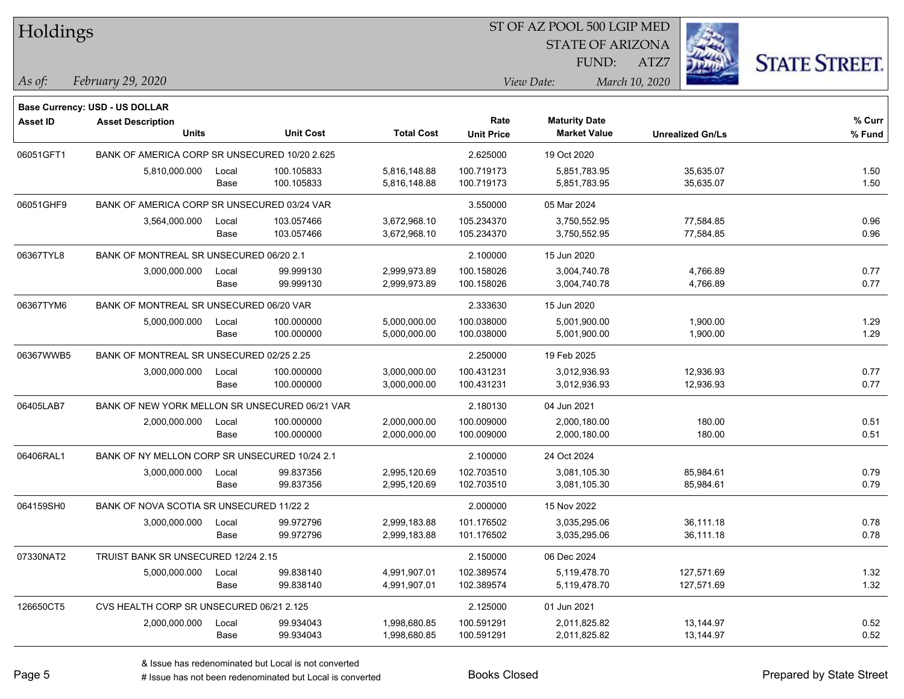| Holdings        |                                                |       |                  |                   | ST OF AZ POOL 500 LGIP MED |                         |                         |                      |
|-----------------|------------------------------------------------|-------|------------------|-------------------|----------------------------|-------------------------|-------------------------|----------------------|
|                 |                                                |       |                  |                   |                            | <b>STATE OF ARIZONA</b> |                         |                      |
|                 |                                                |       |                  |                   |                            | FUND:                   | ATZ7                    | <b>STATE STREET.</b> |
| As of:          | February 29, 2020                              |       |                  |                   |                            | View Date:              | March 10, 2020          |                      |
|                 | Base Currency: USD - US DOLLAR                 |       |                  |                   |                            |                         |                         |                      |
| <b>Asset ID</b> | <b>Asset Description</b>                       |       |                  |                   | Rate                       | <b>Maturity Date</b>    |                         | % Curr               |
|                 | <b>Units</b>                                   |       | <b>Unit Cost</b> | <b>Total Cost</b> | <b>Unit Price</b>          | <b>Market Value</b>     | <b>Unrealized Gn/Ls</b> | % Fund               |
| 06051GFT1       | BANK OF AMERICA CORP SR UNSECURED 10/20 2.625  |       |                  |                   | 2.625000                   | 19 Oct 2020             |                         |                      |
|                 | 5,810,000.000                                  | Local | 100.105833       | 5,816,148.88      | 100.719173                 | 5,851,783.95            | 35,635.07               | 1.50                 |
|                 |                                                | Base  | 100.105833       | 5,816,148.88      | 100.719173                 | 5,851,783.95            | 35,635.07               | 1.50                 |
| 06051GHF9       | BANK OF AMERICA CORP SR UNSECURED 03/24 VAR    |       |                  |                   | 3.550000                   | 05 Mar 2024             |                         |                      |
|                 | 3,564,000.000                                  | Local | 103.057466       | 3,672,968.10      | 105.234370                 | 3,750,552.95            | 77,584.85               | 0.96                 |
|                 |                                                | Base  | 103.057466       | 3,672,968.10      | 105.234370                 | 3,750,552.95            | 77,584.85               | 0.96                 |
| 06367TYL8       | BANK OF MONTREAL SR UNSECURED 06/20 2.1        |       |                  |                   | 2.100000                   | 15 Jun 2020             |                         |                      |
|                 | 3,000,000.000                                  | Local | 99.999130        | 2,999,973.89      | 100.158026                 | 3,004,740.78            | 4,766.89                | 0.77                 |
|                 |                                                | Base  | 99.999130        | 2,999,973.89      | 100.158026                 | 3,004,740.78            | 4,766.89                | 0.77                 |
| 06367TYM6       | BANK OF MONTREAL SR UNSECURED 06/20 VAR        |       |                  |                   | 2.333630                   | 15 Jun 2020             |                         |                      |
|                 | 5,000,000.000                                  | Local | 100.000000       | 5,000,000.00      | 100.038000                 | 5,001,900.00            | 1,900.00                | 1.29                 |
|                 |                                                | Base  | 100.000000       | 5,000,000.00      | 100.038000                 | 5,001,900.00            | 1,900.00                | 1.29                 |
| 06367WWB5       | BANK OF MONTREAL SR UNSECURED 02/25 2.25       |       |                  |                   | 2.250000                   | 19 Feb 2025             |                         |                      |
|                 | 3,000,000.000                                  | Local | 100.000000       | 3,000,000.00      | 100.431231                 | 3,012,936.93            | 12,936.93               | 0.77                 |
|                 |                                                | Base  | 100.000000       | 3,000,000.00      | 100.431231                 | 3,012,936.93            | 12,936.93               | 0.77                 |
| 06405LAB7       | BANK OF NEW YORK MELLON SR UNSECURED 06/21 VAR |       |                  |                   | 2.180130                   | 04 Jun 2021             |                         |                      |
|                 | 2,000,000.000                                  | Local | 100.000000       | 2,000,000.00      | 100.009000                 | 2,000,180.00            | 180.00                  | 0.51                 |
|                 |                                                | Base  | 100.000000       | 2,000,000.00      | 100.009000                 | 2,000,180.00            | 180.00                  | 0.51                 |
| 06406RAL1       | BANK OF NY MELLON CORP SR UNSECURED 10/24 2.1  |       |                  |                   | 2.100000                   | 24 Oct 2024             |                         |                      |
|                 | 3,000,000.000                                  | Local | 99.837356        | 2,995,120.69      | 102.703510                 | 3,081,105.30            | 85,984.61               | 0.79                 |
|                 |                                                | Base  | 99.837356        | 2,995,120.69      | 102.703510                 | 3,081,105.30            | 85,984.61               | 0.79                 |
| 064159SH0       | BANK OF NOVA SCOTIA SR UNSECURED 11/22 2       |       |                  |                   | 2.000000                   | 15 Nov 2022             |                         |                      |
|                 | 3,000,000.000 Local                            |       | 99.972796        | 2,999,183.88      | 101.176502                 | 3,035,295.06            | 36,111.18               | 0.78                 |
|                 |                                                | Base  | 99.972796        | 2,999,183.88      | 101.176502                 | 3,035,295.06            | 36,111.18               | 0.78                 |
| 07330NAT2       | TRUIST BANK SR UNSECURED 12/24 2.15            |       |                  |                   | 2.150000                   | 06 Dec 2024             |                         |                      |
|                 | 5,000,000.000                                  | Local | 99.838140        | 4,991,907.01      | 102.389574                 | 5,119,478.70            | 127,571.69              | 1.32                 |
|                 |                                                | Base  | 99.838140        | 4,991,907.01      | 102.389574                 | 5,119,478.70            | 127,571.69              | 1.32                 |
| 126650CT5       | CVS HEALTH CORP SR UNSECURED 06/21 2.125       |       |                  |                   | 2.125000                   | 01 Jun 2021             |                         |                      |
|                 | 2,000,000.000                                  | Local | 99.934043        | 1,998,680.85      | 100.591291                 | 2,011,825.82            | 13,144.97               | 0.52                 |
|                 |                                                | Base  | 99.934043        | 1,998,680.85      | 100.591291                 | 2,011,825.82            | 13,144.97               | 0.52                 |

denote the redenominated but Local is converted Books Closed Prepared by State Street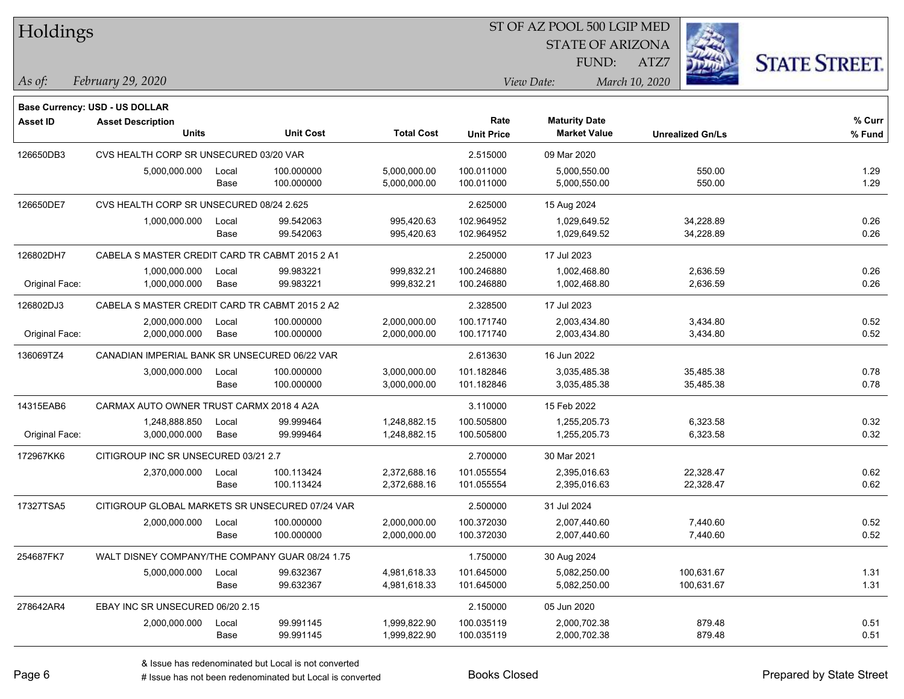| Holdings |  |
|----------|--|
|----------|--|

STATE OF ARIZONA

ATZ7



*February 29, 2020 As of: View Date: March 10, 2020*

**Base Currency: USD - US DOLLAR**

| <b>Asset ID</b> | <b>Asset Description</b>                        |       |                  |                   | Rate              | <b>Maturity Date</b> |                         | % Curr |
|-----------------|-------------------------------------------------|-------|------------------|-------------------|-------------------|----------------------|-------------------------|--------|
|                 | <b>Units</b>                                    |       | <b>Unit Cost</b> | <b>Total Cost</b> | <b>Unit Price</b> | <b>Market Value</b>  | <b>Unrealized Gn/Ls</b> | % Fund |
| 126650DB3       | CVS HEALTH CORP SR UNSECURED 03/20 VAR          |       |                  |                   | 2.515000          | 09 Mar 2020          |                         |        |
|                 | 5,000,000.000                                   | Local | 100.000000       | 5,000,000.00      | 100.011000        | 5,000,550.00         | 550.00                  | 1.29   |
|                 |                                                 | Base  | 100.000000       | 5,000,000.00      | 100.011000        | 5,000,550.00         | 550.00                  | 1.29   |
| 126650DE7       | CVS HEALTH CORP SR UNSECURED 08/24 2.625        |       |                  |                   | 2.625000          | 15 Aug 2024          |                         |        |
|                 | 1,000,000.000                                   | Local | 99.542063        | 995,420.63        | 102.964952        | 1,029,649.52         | 34,228.89               | 0.26   |
|                 |                                                 | Base  | 99.542063        | 995,420.63        | 102.964952        | 1,029,649.52         | 34,228.89               | 0.26   |
| 126802DH7       | CABELA S MASTER CREDIT CARD TR CABMT 2015 2 A1  |       |                  |                   | 2.250000          | 17 Jul 2023          |                         |        |
|                 | 1,000,000.000                                   | Local | 99.983221        | 999,832.21        | 100.246880        | 1,002,468.80         | 2,636.59                | 0.26   |
| Original Face:  | 1,000,000.000                                   | Base  | 99.983221        | 999,832.21        | 100.246880        | 1,002,468.80         | 2,636.59                | 0.26   |
| 126802DJ3       | CABELA S MASTER CREDIT CARD TR CABMT 2015 2 A2  |       |                  |                   | 2.328500          | 17 Jul 2023          |                         |        |
|                 | 2,000,000.000                                   | Local | 100.000000       | 2,000,000.00      | 100.171740        | 2,003,434.80         | 3,434.80                | 0.52   |
| Original Face:  | 2,000,000.000                                   | Base  | 100.000000       | 2,000,000.00      | 100.171740        | 2,003,434.80         | 3,434.80                | 0.52   |
| 136069TZ4       | CANADIAN IMPERIAL BANK SR UNSECURED 06/22 VAR   |       |                  |                   | 2.613630          | 16 Jun 2022          |                         |        |
|                 | 3,000,000.000                                   | Local | 100.000000       | 3,000,000.00      | 101.182846        | 3,035,485.38         | 35,485.38               | 0.78   |
|                 |                                                 | Base  | 100.000000       | 3,000,000.00      | 101.182846        | 3,035,485.38         | 35,485.38               | 0.78   |
| 14315EAB6       | CARMAX AUTO OWNER TRUST CARMX 2018 4 A2A        |       |                  |                   | 3.110000          | 15 Feb 2022          |                         |        |
|                 | 1,248,888.850                                   | Local | 99.999464        | 1,248,882.15      | 100.505800        | 1,255,205.73         | 6,323.58                | 0.32   |
| Original Face:  | 3,000,000.000                                   | Base  | 99.999464        | 1,248,882.15      | 100.505800        | 1,255,205.73         | 6,323.58                | 0.32   |
| 172967KK6       | CITIGROUP INC SR UNSECURED 03/21 2.7            |       |                  |                   | 2.700000          | 30 Mar 2021          |                         |        |
|                 | 2,370,000.000                                   | Local | 100.113424       | 2,372,688.16      | 101.055554        | 2,395,016.63         | 22,328.47               | 0.62   |
|                 |                                                 | Base  | 100.113424       | 2,372,688.16      | 101.055554        | 2,395,016.63         | 22,328.47               | 0.62   |
| 17327TSA5       | CITIGROUP GLOBAL MARKETS SR UNSECURED 07/24 VAR |       |                  |                   | 2.500000          | 31 Jul 2024          |                         |        |
|                 | 2,000,000.000                                   | Local | 100.000000       | 2,000,000.00      | 100.372030        | 2,007,440.60         | 7,440.60                | 0.52   |
|                 |                                                 | Base  | 100.000000       | 2,000,000.00      | 100.372030        | 2,007,440.60         | 7,440.60                | 0.52   |
| 254687FK7       | WALT DISNEY COMPANY/THE COMPANY GUAR 08/24 1.75 |       |                  |                   | 1.750000          | 30 Aug 2024          |                         |        |
|                 | 5,000,000.000                                   | Local | 99.632367        | 4,981,618.33      | 101.645000        | 5,082,250.00         | 100,631.67              | 1.31   |
|                 |                                                 | Base  | 99.632367        | 4,981,618.33      | 101.645000        | 5,082,250.00         | 100,631.67              | 1.31   |
| 278642AR4       | EBAY INC SR UNSECURED 06/20 2.15                |       |                  |                   | 2.150000          | 05 Jun 2020          |                         |        |
|                 | 2,000,000.000                                   | Local | 99.991145        | 1,999,822.90      | 100.035119        | 2,000,702.38         | 879.48                  | 0.51   |
|                 |                                                 | Base  | 99.991145        | 1,999,822.90      | 100.035119        | 2,000,702.38         | 879.48                  | 0.51   |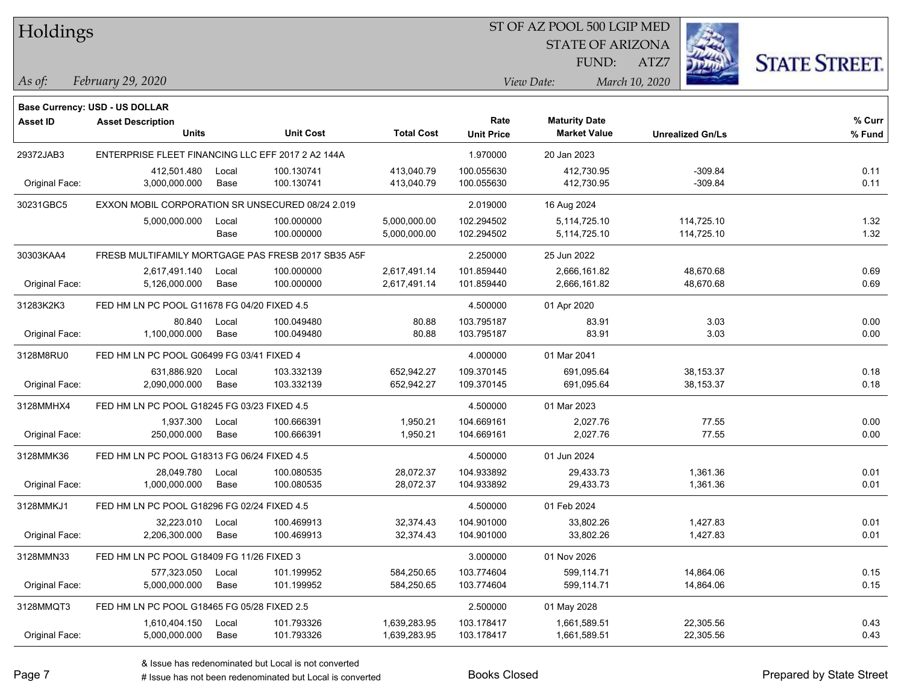| Holdings |
|----------|
|          |

STATE OF ARIZONA FUND:



*February 29, 2020 As of: View Date: March 10, 2020*

ATZ7

|                 | Base Currency: USD - US DOLLAR                    |       |                                                    |                   |                   |                      |                         |        |
|-----------------|---------------------------------------------------|-------|----------------------------------------------------|-------------------|-------------------|----------------------|-------------------------|--------|
| <b>Asset ID</b> | <b>Asset Description</b>                          |       |                                                    |                   | Rate              | <b>Maturity Date</b> |                         | % Curr |
|                 | <b>Units</b>                                      |       | <b>Unit Cost</b>                                   | <b>Total Cost</b> | <b>Unit Price</b> | <b>Market Value</b>  | <b>Unrealized Gn/Ls</b> | % Fund |
| 29372JAB3       | ENTERPRISE FLEET FINANCING LLC EFF 2017 2 A2 144A |       |                                                    |                   | 1.970000          | 20 Jan 2023          |                         |        |
|                 | 412,501.480                                       | Local | 100.130741                                         | 413,040.79        | 100.055630        | 412,730.95           | $-309.84$               | 0.11   |
| Original Face:  | 3,000,000.000                                     | Base  | 100.130741                                         | 413,040.79        | 100.055630        | 412,730.95           | $-309.84$               | 0.11   |
| 30231GBC5       | EXXON MOBIL CORPORATION SR UNSECURED 08/24 2.019  |       |                                                    | 2.019000          | 16 Aug 2024       |                      |                         |        |
|                 | 5,000,000.000                                     | Local | 100.000000                                         | 5,000,000.00      | 102.294502        | 5,114,725.10         | 114,725.10              | 1.32   |
|                 |                                                   | Base  | 100.000000                                         | 5,000,000.00      | 102.294502        | 5,114,725.10         | 114,725.10              | 1.32   |
| 30303KAA4       |                                                   |       | FRESB MULTIFAMILY MORTGAGE PAS FRESB 2017 SB35 A5F |                   | 2.250000          | 25 Jun 2022          |                         |        |
|                 | 2,617,491.140                                     | Local | 100.000000                                         | 2,617,491.14      | 101.859440        | 2,666,161.82         | 48,670.68               | 0.69   |
| Original Face:  | 5,126,000.000                                     | Base  | 100.000000                                         | 2,617,491.14      | 101.859440        | 2,666,161.82         | 48,670.68               | 0.69   |
| 31283K2K3       | FED HM LN PC POOL G11678 FG 04/20 FIXED 4.5       |       |                                                    |                   | 4.500000          | 01 Apr 2020          |                         |        |
|                 | 80.840                                            | Local | 100.049480                                         | 80.88             | 103.795187        | 83.91                | 3.03                    | 0.00   |
| Original Face:  | 1,100,000.000                                     | Base  | 100.049480                                         | 80.88             | 103.795187        | 83.91                | 3.03                    | 0.00   |
| 3128M8RU0       | FED HM LN PC POOL G06499 FG 03/41 FIXED 4         |       |                                                    |                   | 4.000000          | 01 Mar 2041          |                         |        |
|                 | 631,886.920                                       | Local | 103.332139                                         | 652,942.27        | 109.370145        | 691,095.64           | 38, 153. 37             | 0.18   |
| Original Face:  | 2,090,000.000                                     | Base  | 103.332139                                         | 652,942.27        | 109.370145        | 691,095.64           | 38,153.37               | 0.18   |
| 3128MMHX4       | FED HM LN PC POOL G18245 FG 03/23 FIXED 4.5       |       |                                                    |                   | 4.500000          | 01 Mar 2023          |                         |        |
|                 | 1,937.300                                         | Local | 100.666391                                         | 1,950.21          | 104.669161        | 2,027.76             | 77.55                   | 0.00   |
| Original Face:  | 250,000.000                                       | Base  | 100.666391                                         | 1,950.21          | 104.669161        | 2,027.76             | 77.55                   | 0.00   |
| 3128MMK36       | FED HM LN PC POOL G18313 FG 06/24 FIXED 4.5       |       |                                                    |                   | 4.500000          | 01 Jun 2024          |                         |        |
|                 | 28,049.780                                        | Local | 100.080535                                         | 28,072.37         | 104.933892        | 29,433.73            | 1,361.36                | 0.01   |
| Original Face:  | 1,000,000.000                                     | Base  | 100.080535                                         | 28,072.37         | 104.933892        | 29,433.73            | 1,361.36                | 0.01   |
| 3128MMKJ1       | FED HM LN PC POOL G18296 FG 02/24 FIXED 4.5       |       |                                                    |                   | 4.500000          | 01 Feb 2024          |                         |        |
|                 | 32,223.010                                        | Local | 100.469913                                         | 32,374.43         | 104.901000        | 33,802.26            | 1,427.83                | 0.01   |
| Original Face:  | 2,206,300.000                                     | Base  | 100.469913                                         | 32,374.43         | 104.901000        | 33,802.26            | 1,427.83                | 0.01   |
| 3128MMN33       | FED HM LN PC POOL G18409 FG 11/26 FIXED 3         |       |                                                    |                   | 3.000000          | 01 Nov 2026          |                         |        |
|                 | 577,323.050                                       | Local | 101.199952                                         | 584,250.65        | 103.774604        | 599,114.71           | 14,864.06               | 0.15   |
| Original Face:  | 5,000,000.000                                     | Base  | 101.199952                                         | 584,250.65        | 103.774604        | 599,114.71           | 14,864.06               | 0.15   |
| 3128MMQT3       | FED HM LN PC POOL G18465 FG 05/28 FIXED 2.5       |       |                                                    |                   | 2.500000          | 01 May 2028          |                         |        |
|                 | 1,610,404.150                                     | Local | 101.793326                                         | 1,639,283.95      | 103.178417        | 1,661,589.51         | 22,305.56               | 0.43   |
| Original Face:  | 5,000,000.000                                     | Base  | 101.793326                                         | 1,639,283.95      | 103.178417        | 1,661,589.51         | 22,305.56               | 0.43   |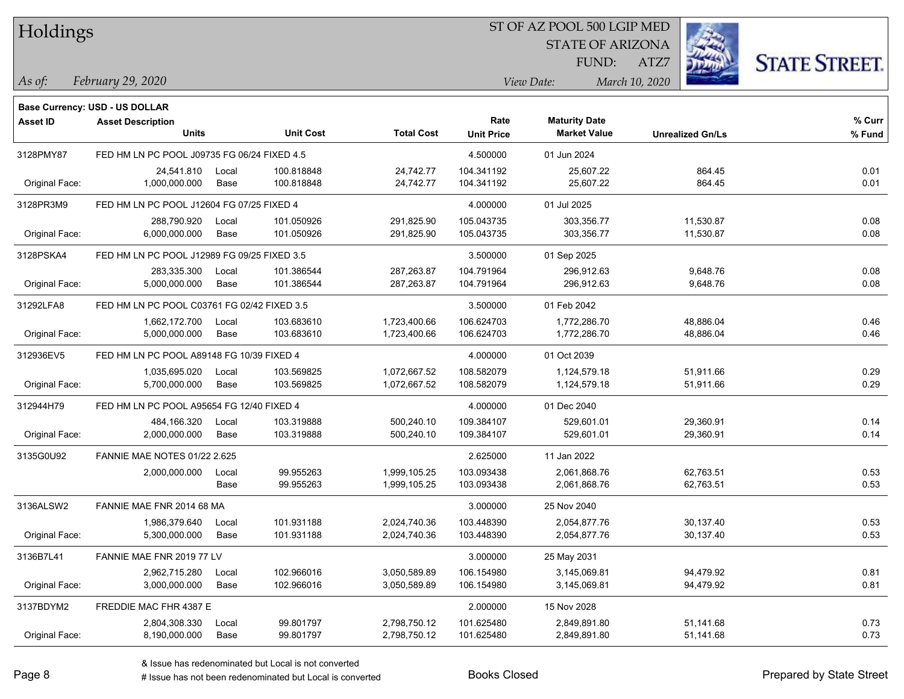| Holdings |
|----------|
|          |

STATE OF ARIZONA

ATZ7



*February 29, 2020 As of: View Date: March 10, 2020*

**Base Currency: USD - US DOLLAR**

| Asset ID       | <b>Asset Description</b>                    |             |                  |                   | Rate              | <b>Maturity Date</b> |                         | % Curr |
|----------------|---------------------------------------------|-------------|------------------|-------------------|-------------------|----------------------|-------------------------|--------|
|                | <b>Units</b>                                |             | <b>Unit Cost</b> | <b>Total Cost</b> | <b>Unit Price</b> | <b>Market Value</b>  | <b>Unrealized Gn/Ls</b> | % Fund |
| 3128PMY87      | FED HM LN PC POOL J09735 FG 06/24 FIXED 4.5 |             |                  |                   | 4.500000          | 01 Jun 2024          |                         |        |
|                | 24,541.810                                  | Local       | 100.818848       | 24,742.77         | 104.341192        | 25,607.22            | 864.45                  | 0.01   |
| Original Face: | 1,000,000.000                               | Base        | 100.818848       | 24,742.77         | 104.341192        | 25,607.22            | 864.45                  | 0.01   |
| 3128PR3M9      | FED HM LN PC POOL J12604 FG 07/25 FIXED 4   |             |                  |                   | 4.000000          | 01 Jul 2025          |                         |        |
|                | 288,790.920                                 | Local       | 101.050926       | 291,825.90        | 105.043735        | 303,356.77           | 11,530.87               | 0.08   |
| Original Face: | 6,000,000.000                               | <b>Base</b> | 101.050926       | 291,825.90        | 105.043735        | 303,356.77           | 11,530.87               | 0.08   |
| 3128PSKA4      | FED HM LN PC POOL J12989 FG 09/25 FIXED 3.5 |             |                  |                   | 3.500000          | 01 Sep 2025          |                         |        |
|                | 283,335.300                                 | Local       | 101.386544       | 287,263.87        | 104.791964        | 296,912.63           | 9,648.76                | 0.08   |
| Original Face: | 5,000,000.000                               | Base        | 101.386544       | 287,263.87        | 104.791964        | 296,912.63           | 9,648.76                | 0.08   |
| 31292LFA8      | FED HM LN PC POOL C03761 FG 02/42 FIXED 3.5 |             |                  |                   | 3.500000          | 01 Feb 2042          |                         |        |
|                | 1,662,172.700                               | Local       | 103.683610       | 1,723,400.66      | 106.624703        | 1,772,286.70         | 48,886.04               | 0.46   |
| Original Face: | 5,000,000.000                               | Base        | 103.683610       | 1,723,400.66      | 106.624703        | 1,772,286.70         | 48,886.04               | 0.46   |
| 312936EV5      | FED HM LN PC POOL A89148 FG 10/39 FIXED 4   |             |                  |                   | 4.000000          | 01 Oct 2039          |                         |        |
|                | 1,035,695.020                               | Local       | 103.569825       | 1,072,667.52      | 108.582079        | 1,124,579.18         | 51,911.66               | 0.29   |
| Original Face: | 5,700,000.000                               | Base        | 103.569825       | 1,072,667.52      | 108.582079        | 1,124,579.18         | 51,911.66               | 0.29   |
| 312944H79      | FED HM LN PC POOL A95654 FG 12/40 FIXED 4   |             |                  |                   | 4.000000          | 01 Dec 2040          |                         |        |
|                | 484,166.320                                 | Local       | 103.319888       | 500,240.10        | 109.384107        | 529,601.01           | 29,360.91               | 0.14   |
| Original Face: | 2,000,000.000                               | Base        | 103.319888       | 500,240.10        | 109.384107        | 529,601.01           | 29,360.91               | 0.14   |
| 3135G0U92      | <b>FANNIE MAE NOTES 01/22 2.625</b>         |             |                  |                   | 2.625000          | 11 Jan 2022          |                         |        |
|                | 2,000,000.000                               | Local       | 99.955263        | 1,999,105.25      | 103.093438        | 2,061,868.76         | 62,763.51               | 0.53   |
|                |                                             | Base        | 99.955263        | 1,999,105.25      | 103.093438        | 2,061,868.76         | 62,763.51               | 0.53   |
| 3136ALSW2      | FANNIE MAE FNR 2014 68 MA                   |             |                  |                   | 3.000000          | 25 Nov 2040          |                         |        |
|                | 1,986,379.640                               | Local       | 101.931188       | 2,024,740.36      | 103.448390        | 2,054,877.76         | 30,137.40               | 0.53   |
| Original Face: | 5,300,000.000                               | Base        | 101.931188       | 2,024,740.36      | 103.448390        | 2,054,877.76         | 30,137.40               | 0.53   |
| 3136B7L41      | FANNIE MAE FNR 2019 77 LV                   |             |                  |                   | 3.000000          | 25 May 2031          |                         |        |
|                | 2,962,715.280                               | Local       | 102.966016       | 3,050,589.89      | 106.154980        | 3,145,069.81         | 94,479.92               | 0.81   |
| Original Face: | 3,000,000.000                               | <b>Base</b> | 102.966016       | 3,050,589.89      | 106.154980        | 3,145,069.81         | 94,479.92               | 0.81   |
| 3137BDYM2      | FREDDIE MAC FHR 4387 E                      |             |                  |                   | 2.000000          | 15 Nov 2028          |                         |        |
|                | 2,804,308.330                               | Local       | 99.801797        | 2,798,750.12      | 101.625480        | 2,849,891.80         | 51,141.68               | 0.73   |
| Original Face: | 8,190,000.000                               | Base        | 99.801797        | 2,798,750.12      | 101.625480        | 2,849,891.80         | 51,141.68               | 0.73   |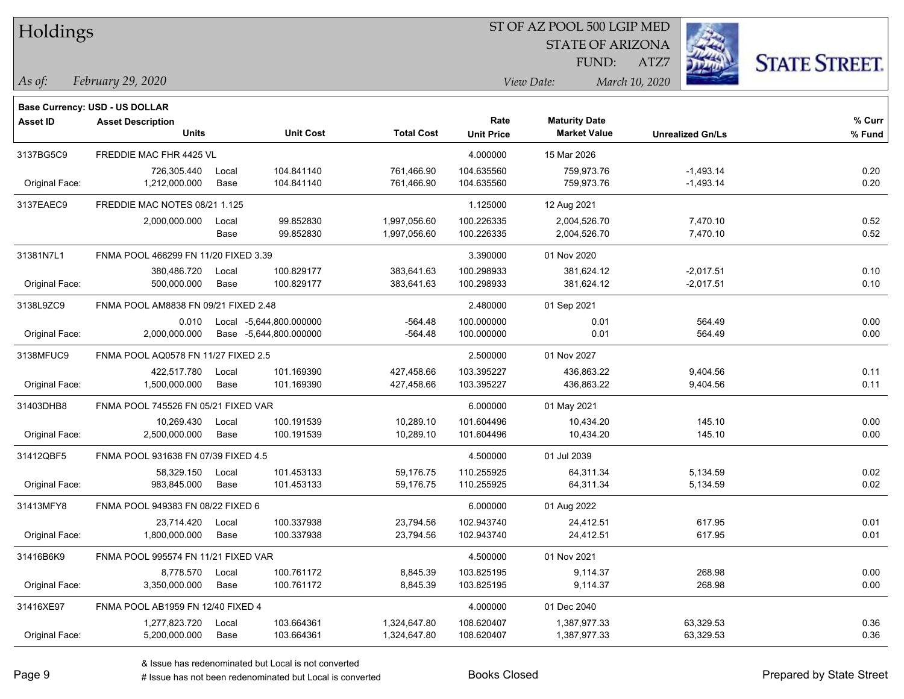| Holdings |  |
|----------|--|
|----------|--|

STATE OF ARIZONA

ATZ7



*February 29, 2020 As of: View Date: March 10, 2020*

**Base Currency: USD - US DOLLAR**

FUND:

| <b>Asset ID</b> | <b>Asset Description</b>             |       |                         |                   | Rate              | <b>Maturity Date</b> |                         | % Curr |
|-----------------|--------------------------------------|-------|-------------------------|-------------------|-------------------|----------------------|-------------------------|--------|
|                 | <b>Units</b>                         |       | <b>Unit Cost</b>        | <b>Total Cost</b> | <b>Unit Price</b> | <b>Market Value</b>  | <b>Unrealized Gn/Ls</b> | % Fund |
| 3137BG5C9       | FREDDIE MAC FHR 4425 VL              |       |                         |                   | 4.000000          | 15 Mar 2026          |                         |        |
|                 | 726,305.440                          | Local | 104.841140              | 761,466.90        | 104.635560        | 759,973.76           | $-1,493.14$             | 0.20   |
| Original Face:  | 1,212,000.000                        | Base  | 104.841140              | 761,466.90        | 104.635560        | 759,973.76           | $-1,493.14$             | 0.20   |
| 3137EAEC9       | FREDDIE MAC NOTES 08/21 1.125        |       |                         |                   | 1.125000          | 12 Aug 2021          |                         |        |
|                 | 2,000,000.000                        | Local | 99.852830               | 1,997,056.60      | 100.226335        | 2,004,526.70         | 7,470.10                | 0.52   |
|                 |                                      | Base  | 99.852830               | 1,997,056.60      | 100.226335        | 2,004,526.70         | 7,470.10                | 0.52   |
| 31381N7L1       | FNMA POOL 466299 FN 11/20 FIXED 3.39 |       |                         |                   | 3.390000          | 01 Nov 2020          |                         |        |
|                 | 380,486.720                          | Local | 100.829177              | 383,641.63        | 100.298933        | 381,624.12           | $-2,017.51$             | 0.10   |
| Original Face:  | 500,000.000                          | Base  | 100.829177              | 383,641.63        | 100.298933        | 381,624.12           | $-2,017.51$             | 0.10   |
| 3138L9ZC9       | FNMA POOL AM8838 FN 09/21 FIXED 2.48 |       |                         |                   | 2.480000          | 01 Sep 2021          |                         |        |
|                 | 0.010                                |       | Local -5,644,800.000000 | $-564.48$         | 100.000000        | 0.01                 | 564.49                  | 0.00   |
| Original Face:  | 2,000,000.000                        |       | Base -5,644,800.000000  | -564.48           | 100.000000        | 0.01                 | 564.49                  | 0.00   |
| 3138MFUC9       | FNMA POOL AQ0578 FN 11/27 FIXED 2.5  |       |                         |                   | 2.500000          | 01 Nov 2027          |                         |        |
|                 | 422,517.780                          | Local | 101.169390              | 427,458.66        | 103.395227        | 436,863.22           | 9,404.56                | 0.11   |
| Original Face:  | 1,500,000.000                        | Base  | 101.169390              | 427,458.66        | 103.395227        | 436,863.22           | 9,404.56                | 0.11   |
| 31403DHB8       | FNMA POOL 745526 FN 05/21 FIXED VAR  |       |                         |                   | 6.000000          | 01 May 2021          |                         |        |
|                 | 10,269.430                           | Local | 100.191539              | 10,289.10         | 101.604496        | 10,434.20            | 145.10                  | 0.00   |
| Original Face:  | 2,500,000.000                        | Base  | 100.191539              | 10,289.10         | 101.604496        | 10,434.20            | 145.10                  | 0.00   |
| 31412QBF5       | FNMA POOL 931638 FN 07/39 FIXED 4.5  |       |                         |                   | 4.500000          | 01 Jul 2039          |                         |        |
|                 | 58,329.150                           | Local | 101.453133              | 59,176.75         | 110.255925        | 64,311.34            | 5,134.59                | 0.02   |
| Original Face:  | 983,845.000                          | Base  | 101.453133              | 59,176.75         | 110.255925        | 64,311.34            | 5,134.59                | 0.02   |
| 31413MFY8       | FNMA POOL 949383 FN 08/22 FIXED 6    |       |                         |                   | 6.000000          | 01 Aug 2022          |                         |        |
|                 | 23,714.420                           | Local | 100.337938              | 23,794.56         | 102.943740        | 24,412.51            | 617.95                  | 0.01   |
| Original Face:  | 1,800,000.000                        | Base  | 100.337938              | 23,794.56         | 102.943740        | 24,412.51            | 617.95                  | 0.01   |
| 31416B6K9       | FNMA POOL 995574 FN 11/21 FIXED VAR  |       |                         |                   | 4.500000          | 01 Nov 2021          |                         |        |
|                 | 8,778.570                            | Local | 100.761172              | 8,845.39          | 103.825195        | 9,114.37             | 268.98                  | 0.00   |
| Original Face:  | 3,350,000.000                        | Base  | 100.761172              | 8,845.39          | 103.825195        | 9,114.37             | 268.98                  | 0.00   |
| 31416XE97       | FNMA POOL AB1959 FN 12/40 FIXED 4    |       |                         |                   | 4.000000          | 01 Dec 2040          |                         |        |
|                 | 1,277,823.720                        | Local | 103.664361              | 1,324,647.80      | 108.620407        | 1,387,977.33         | 63,329.53               | 0.36   |
| Original Face:  | 5,200,000.000                        | Base  | 103.664361              | 1,324,647.80      | 108.620407        | 1,387,977.33         | 63,329.53               | 0.36   |

A ISSUE ISSUE ISSUE ISSUE ISSUE ISSUE ISSUE ISSUE ISSUE ISSUE ISSUE ISSUE ISSUE ISSUE ISSUE ISSUE ISSUE ISSUE I<br>
# Issue has not been redenominated but Local is converted **BOOKS** Closed **Prepared by State Street**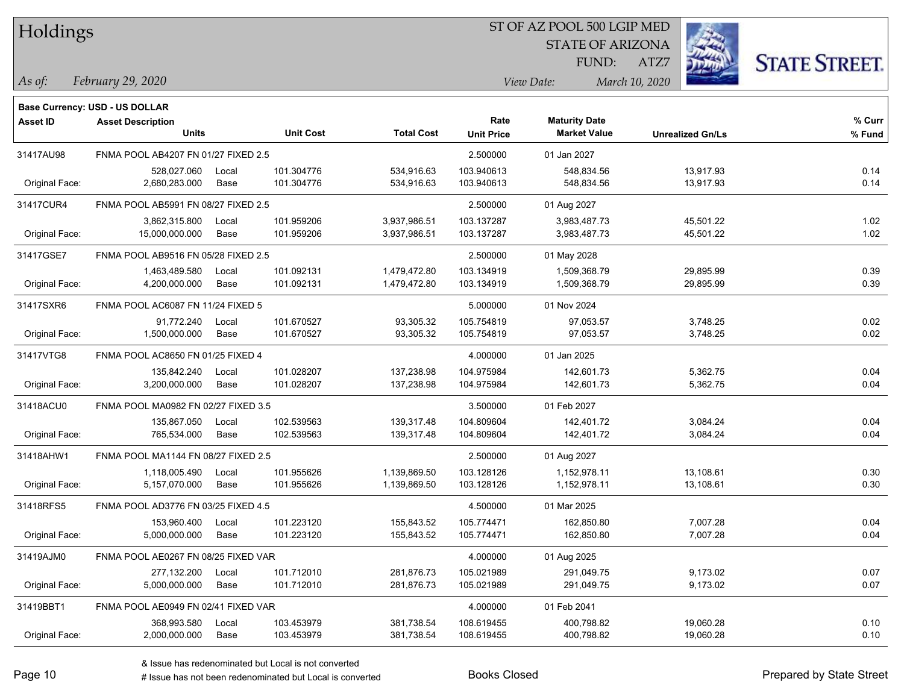| Holdings |
|----------|
|          |

STATE OF ARIZONA

ATZ7



*February 29, 2020 As of: View Date: March 10, 2020*

|                 | <b>Base Currency: USD - US DOLLAR</b> |       |                  |                   |                   |                      |                         |        |
|-----------------|---------------------------------------|-------|------------------|-------------------|-------------------|----------------------|-------------------------|--------|
| <b>Asset ID</b> | <b>Asset Description</b>              |       |                  |                   | Rate              | <b>Maturity Date</b> |                         | % Curr |
|                 | <b>Units</b>                          |       | <b>Unit Cost</b> | <b>Total Cost</b> | <b>Unit Price</b> | <b>Market Value</b>  | <b>Unrealized Gn/Ls</b> | % Fund |
| 31417AU98       | FNMA POOL AB4207 FN 01/27 FIXED 2.5   |       |                  |                   | 2.500000          | 01 Jan 2027          |                         |        |
|                 | 528,027.060                           | Local | 101.304776       | 534,916.63        | 103.940613        | 548,834.56           | 13,917.93               | 0.14   |
| Original Face:  | 2,680,283.000                         | Base  | 101.304776       | 534,916.63        | 103.940613        | 548,834.56           | 13,917.93               | 0.14   |
| 31417CUR4       | FNMA POOL AB5991 FN 08/27 FIXED 2.5   |       |                  |                   | 2.500000          | 01 Aug 2027          |                         |        |
|                 | 3,862,315.800                         | Local | 101.959206       | 3,937,986.51      | 103.137287        | 3,983,487.73         | 45,501.22               | 1.02   |
| Original Face:  | 15,000,000.000                        | Base  | 101.959206       | 3,937,986.51      | 103.137287        | 3,983,487.73         | 45,501.22               | 1.02   |
| 31417GSE7       | FNMA POOL AB9516 FN 05/28 FIXED 2.5   |       |                  |                   | 2.500000          | 01 May 2028          |                         |        |
|                 | 1,463,489.580                         | Local | 101.092131       | 1,479,472.80      | 103.134919        | 1,509,368.79         | 29,895.99               | 0.39   |
| Original Face:  | 4,200,000.000                         | Base  | 101.092131       | 1,479,472.80      | 103.134919        | 1,509,368.79         | 29,895.99               | 0.39   |
| 31417SXR6       | FNMA POOL AC6087 FN 11/24 FIXED 5     |       |                  |                   | 5.000000          | 01 Nov 2024          |                         |        |
|                 | 91,772.240                            | Local | 101.670527       | 93,305.32         | 105.754819        | 97,053.57            | 3,748.25                | 0.02   |
| Original Face:  | 1,500,000.000                         | Base  | 101.670527       | 93,305.32         | 105.754819        | 97,053.57            | 3,748.25                | 0.02   |
| 31417VTG8       | FNMA POOL AC8650 FN 01/25 FIXED 4     |       |                  |                   | 4.000000          | 01 Jan 2025          |                         |        |
|                 | 135,842.240                           | Local | 101.028207       | 137,238.98        | 104.975984        | 142,601.73           | 5,362.75                | 0.04   |
| Original Face:  | 3,200,000.000                         | Base  | 101.028207       | 137,238.98        | 104.975984        | 142,601.73           | 5,362.75                | 0.04   |
| 31418ACU0       | FNMA POOL MA0982 FN 02/27 FIXED 3.5   |       |                  |                   | 3.500000          | 01 Feb 2027          |                         |        |
|                 | 135,867.050                           | Local | 102.539563       | 139,317.48        | 104.809604        | 142,401.72           | 3,084.24                | 0.04   |
| Original Face:  | 765,534.000                           | Base  | 102.539563       | 139,317.48        | 104.809604        | 142,401.72           | 3,084.24                | 0.04   |
| 31418AHW1       | FNMA POOL MA1144 FN 08/27 FIXED 2.5   |       |                  |                   | 2.500000          | 01 Aug 2027          |                         |        |
|                 | 1,118,005.490                         | Local | 101.955626       | 1,139,869.50      | 103.128126        | 1,152,978.11         | 13,108.61               | 0.30   |
| Original Face:  | 5,157,070.000                         | Base  | 101.955626       | 1,139,869.50      | 103.128126        | 1,152,978.11         | 13,108.61               | 0.30   |
| 31418RFS5       | FNMA POOL AD3776 FN 03/25 FIXED 4.5   |       |                  |                   | 4.500000          | 01 Mar 2025          |                         |        |
|                 | 153,960.400                           | Local | 101.223120       | 155,843.52        | 105.774471        | 162,850.80           | 7,007.28                | 0.04   |
| Original Face:  | 5,000,000.000                         | Base  | 101.223120       | 155,843.52        | 105.774471        | 162,850.80           | 7,007.28                | 0.04   |
| 31419AJM0       | FNMA POOL AE0267 FN 08/25 FIXED VAR   |       |                  |                   | 4.000000          | 01 Aug 2025          |                         |        |
|                 | 277,132.200                           | Local | 101.712010       | 281,876.73        | 105.021989        | 291,049.75           | 9,173.02                | 0.07   |
| Original Face:  | 5,000,000.000                         | Base  | 101.712010       | 281,876.73        | 105.021989        | 291,049.75           | 9,173.02                | 0.07   |
| 31419BBT1       | FNMA POOL AE0949 FN 02/41 FIXED VAR   |       |                  |                   | 4.000000          | 01 Feb 2041          |                         |        |
|                 | 368,993.580                           | Local | 103.453979       | 381,738.54        | 108.619455        | 400,798.82           | 19,060.28               | 0.10   |
| Original Face:  | 2,000,000.000                         | Base  | 103.453979       | 381,738.54        | 108.619455        | 400,798.82           | 19,060.28               | 0.10   |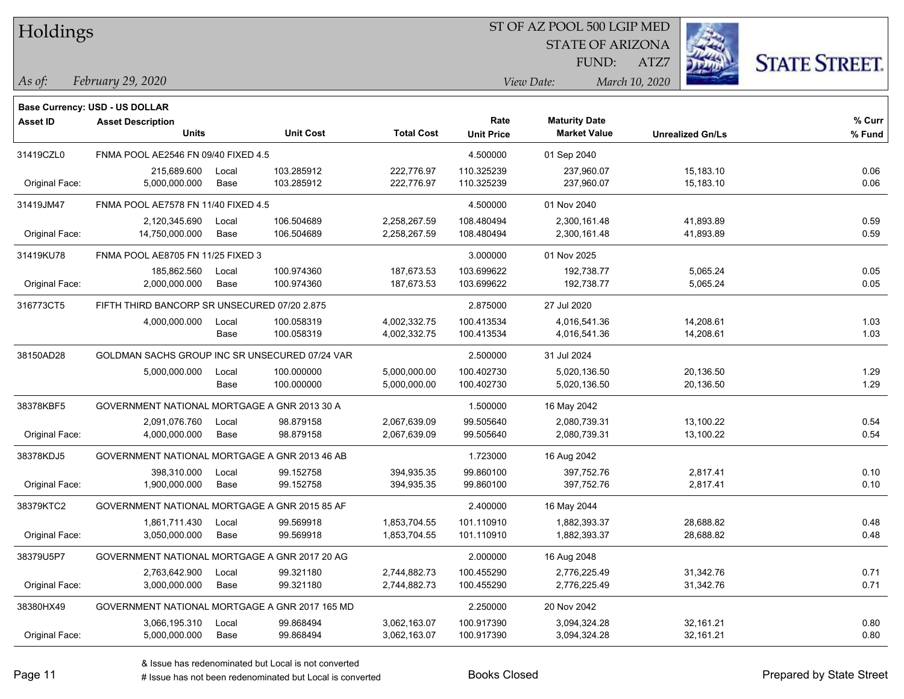| Holdings |
|----------|
|          |

STATE OF ARIZONA

ATZ7



*February 29, 2020 As of: View Date: March 10, 2020*

|                 | <b>Base Currency: USD - US DOLLAR</b>          |       |                  |                   |                   |                      |                         |        |
|-----------------|------------------------------------------------|-------|------------------|-------------------|-------------------|----------------------|-------------------------|--------|
| <b>Asset ID</b> | <b>Asset Description</b>                       |       |                  |                   | Rate              | <b>Maturity Date</b> |                         | % Curr |
|                 | <b>Units</b>                                   |       | <b>Unit Cost</b> | <b>Total Cost</b> | <b>Unit Price</b> | <b>Market Value</b>  | <b>Unrealized Gn/Ls</b> | % Fund |
| 31419CZL0       | FNMA POOL AE2546 FN 09/40 FIXED 4.5            |       |                  |                   | 4.500000          | 01 Sep 2040          |                         |        |
|                 | 215,689.600                                    | Local | 103.285912       | 222,776.97        | 110.325239        | 237,960.07           | 15,183.10               | 0.06   |
| Original Face:  | 5,000,000.000                                  | Base  | 103.285912       | 222,776.97        | 110.325239        | 237,960.07           | 15,183.10               | 0.06   |
| 31419JM47       | FNMA POOL AE7578 FN 11/40 FIXED 4.5            |       |                  |                   | 4.500000          | 01 Nov 2040          |                         |        |
|                 | 2,120,345.690                                  | Local | 106.504689       | 2,258,267.59      | 108.480494        | 2,300,161.48         | 41,893.89               | 0.59   |
| Original Face:  | 14,750,000.000                                 | Base  | 106.504689       | 2,258,267.59      | 108.480494        | 2,300,161.48         | 41,893.89               | 0.59   |
| 31419KU78       | FNMA POOL AE8705 FN 11/25 FIXED 3              |       |                  |                   | 3.000000          | 01 Nov 2025          |                         |        |
|                 | 185,862.560                                    | Local | 100.974360       | 187,673.53        | 103.699622        | 192,738.77           | 5,065.24                | 0.05   |
| Original Face:  | 2,000,000.000                                  | Base  | 100.974360       | 187,673.53        | 103.699622        | 192,738.77           | 5,065.24                | 0.05   |
| 316773CT5       | FIFTH THIRD BANCORP SR UNSECURED 07/20 2.875   |       |                  |                   | 2.875000          | 27 Jul 2020          |                         |        |
|                 | 4,000,000.000                                  | Local | 100.058319       | 4,002,332.75      | 100.413534        | 4,016,541.36         | 14,208.61               | 1.03   |
|                 |                                                | Base  | 100.058319       | 4,002,332.75      | 100.413534        | 4,016,541.36         | 14,208.61               | 1.03   |
| 38150AD28       | GOLDMAN SACHS GROUP INC SR UNSECURED 07/24 VAR |       |                  |                   | 2.500000          | 31 Jul 2024          |                         |        |
|                 | 5,000,000.000                                  | Local | 100.000000       | 5,000,000.00      | 100.402730        | 5,020,136.50         | 20,136.50               | 1.29   |
|                 |                                                | Base  | 100.000000       | 5,000,000.00      | 100.402730        | 5,020,136.50         | 20,136.50               | 1.29   |
| 38378KBF5       | GOVERNMENT NATIONAL MORTGAGE A GNR 2013 30 A   |       |                  |                   | 1.500000          | 16 May 2042          |                         |        |
|                 | 2,091,076.760                                  | Local | 98.879158        | 2,067,639.09      | 99.505640         | 2,080,739.31         | 13,100.22               | 0.54   |
| Original Face:  | 4,000,000.000                                  | Base  | 98.879158        | 2,067,639.09      | 99.505640         | 2,080,739.31         | 13,100.22               | 0.54   |
| 38378KDJ5       | GOVERNMENT NATIONAL MORTGAGE A GNR 2013 46 AB  |       |                  |                   | 1.723000          | 16 Aug 2042          |                         |        |
|                 | 398,310.000                                    | Local | 99.152758        | 394,935.35        | 99.860100         | 397,752.76           | 2,817.41                | 0.10   |
| Original Face:  | 1,900,000.000                                  | Base  | 99.152758        | 394,935.35        | 99.860100         | 397,752.76           | 2,817.41                | 0.10   |
| 38379KTC2       | GOVERNMENT NATIONAL MORTGAGE A GNR 2015 85 AF  |       |                  |                   | 2.400000          | 16 May 2044          |                         |        |
|                 | 1,861,711.430                                  | Local | 99.569918        | 1,853,704.55      | 101.110910        | 1,882,393.37         | 28,688.82               | 0.48   |
| Original Face:  | 3,050,000.000                                  | Base  | 99.569918        | 1,853,704.55      | 101.110910        | 1,882,393.37         | 28,688.82               | 0.48   |
| 38379U5P7       | GOVERNMENT NATIONAL MORTGAGE A GNR 2017 20 AG  |       |                  |                   | 2.000000          | 16 Aug 2048          |                         |        |
|                 | 2,763,642.900                                  | Local | 99.321180        | 2,744,882.73      | 100.455290        | 2,776,225.49         | 31,342.76               | 0.71   |
| Original Face:  | 3,000,000.000                                  | Base  | 99.321180        | 2,744,882.73      | 100.455290        | 2,776,225.49         | 31,342.76               | 0.71   |
| 38380HX49       | GOVERNMENT NATIONAL MORTGAGE A GNR 2017 165 MD |       |                  |                   | 2.250000          | 20 Nov 2042          |                         |        |
|                 | 3,066,195.310                                  | Local | 99.868494        | 3,062,163.07      | 100.917390        | 3,094,324.28         | 32,161.21               | 0.80   |
| Original Face:  | 5,000,000.000                                  | Base  | 99.868494        | 3,062,163.07      | 100.917390        | 3,094,324.28         | 32,161.21               | 0.80   |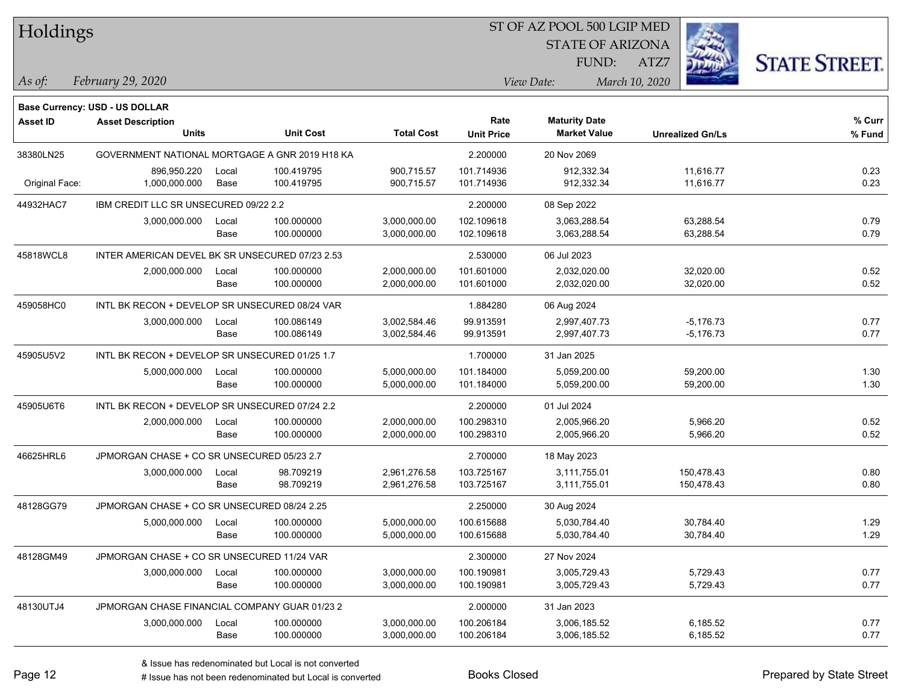| Holdings        |                                                 |       |                  |                   |                   | ST OF AZ POOL 500 LGIP MED |                         |                      |
|-----------------|-------------------------------------------------|-------|------------------|-------------------|-------------------|----------------------------|-------------------------|----------------------|
|                 |                                                 |       |                  |                   |                   | <b>STATE OF ARIZONA</b>    |                         |                      |
|                 |                                                 |       |                  |                   |                   | FUND:                      | ATZ7                    | <b>STATE STREET.</b> |
| As of:          | February 29, 2020                               |       |                  |                   |                   | View Date:                 | March 10, 2020          |                      |
|                 | Base Currency: USD - US DOLLAR                  |       |                  |                   |                   |                            |                         |                      |
| <b>Asset ID</b> | <b>Asset Description</b>                        |       |                  |                   | Rate              | <b>Maturity Date</b>       |                         | $%$ Curr             |
|                 | <b>Units</b>                                    |       | <b>Unit Cost</b> | <b>Total Cost</b> | <b>Unit Price</b> | <b>Market Value</b>        | <b>Unrealized Gn/Ls</b> | % Fund               |
| 38380LN25       | GOVERNMENT NATIONAL MORTGAGE A GNR 2019 H18 KA  |       |                  |                   | 2.200000          | 20 Nov 2069                |                         |                      |
|                 | 896,950.220                                     | Local | 100.419795       | 900.715.57        | 101.714936        | 912,332.34                 | 11,616.77               | 0.23                 |
| Original Face:  | 1,000,000.000                                   | Base  | 100.419795       | 900,715.57        | 101.714936        | 912,332.34                 | 11,616.77               | 0.23                 |
| 44932HAC7       | IBM CREDIT LLC SR UNSECURED 09/22 2.2           |       |                  |                   | 2.200000          | 08 Sep 2022                |                         |                      |
|                 | 3,000,000.000                                   | Local | 100.000000       | 3,000,000.00      | 102.109618        | 3,063,288.54               | 63,288.54               | 0.79                 |
|                 |                                                 | Base  | 100.000000       | 3,000,000.00      | 102.109618        | 3,063,288.54               | 63,288.54               | 0.79                 |
| 45818WCL8       | INTER AMERICAN DEVEL BK SR UNSECURED 07/23 2.53 |       |                  |                   | 2.530000          | 06 Jul 2023                |                         |                      |
|                 | 2,000,000.000                                   | Local | 100.000000       | 2,000,000.00      | 101.601000        | 2,032,020.00               | 32,020.00               | 0.52                 |
|                 |                                                 | Base  | 100.000000       | 2,000,000.00      | 101.601000        | 2,032,020.00               | 32,020.00               | 0.52                 |
| 459058HC0       | INTL BK RECON + DEVELOP SR UNSECURED 08/24 VAR  |       |                  |                   | 1.884280          | 06 Aug 2024                |                         |                      |
|                 | 3,000,000.000                                   | Local | 100.086149       | 3,002,584.46      | 99.913591         | 2,997,407.73               | $-5,176.73$             | 0.77                 |
|                 |                                                 | Base  | 100.086149       | 3,002,584.46      | 99.913591         | 2,997,407.73               | $-5,176.73$             | 0.77                 |
| 45905U5V2       | INTL BK RECON + DEVELOP SR UNSECURED 01/25 1.7  |       |                  |                   | 1.700000          | 31 Jan 2025                |                         |                      |
|                 | 5,000,000.000                                   | Local | 100.000000       | 5,000,000.00      | 101.184000        | 5,059,200.00               | 59,200.00               | 1.30                 |
|                 |                                                 | Base  | 100.000000       | 5,000,000.00      | 101.184000        | 5,059,200.00               | 59,200.00               | 1.30                 |
| 45905U6T6       | INTL BK RECON + DEVELOP SR UNSECURED 07/24 2.2  |       |                  |                   | 2.200000          | 01 Jul 2024                |                         |                      |
|                 | 2,000,000.000                                   | Local | 100.000000       | 2,000,000.00      | 100.298310        | 2,005,966.20               | 5,966.20                | 0.52                 |
|                 |                                                 | Base  | 100.000000       | 2,000,000.00      | 100.298310        | 2,005,966.20               | 5,966.20                | 0.52                 |
| 46625HRL6       | JPMORGAN CHASE + CO SR UNSECURED 05/23 2.7      |       |                  |                   | 2.700000          | 18 May 2023                |                         |                      |
|                 | 3,000,000.000                                   | Local | 98.709219        | 2,961,276.58      | 103.725167        | 3,111,755.01               | 150,478.43              | 0.80                 |
|                 |                                                 | Base  | 98.709219        | 2,961,276.58      | 103.725167        | 3,111,755.01               | 150,478.43              | 0.80                 |
| 48128GG79       | JPMORGAN CHASE + CO SR UNSECURED 08/24 2.25     |       |                  |                   | 2.250000          | 30 Aug 2024                |                         |                      |
|                 | 5,000,000.000                                   | Local | 100.000000       | 5,000,000.00      | 100.615688        | 5,030,784.40               | 30,784.40               | 1.29                 |
|                 |                                                 | Base  | 100.000000       | 5,000,000.00      | 100.615688        | 5,030,784.40               | 30,784.40               | 1.29                 |
| 48128GM49       | JPMORGAN CHASE + CO SR UNSECURED 11/24 VAR      |       |                  |                   | 2.300000          | 27 Nov 2024                |                         |                      |
|                 | 3,000,000.000                                   | Local | 100.000000       | 3,000,000.00      | 100.190981        | 3,005,729.43               | 5,729.43                | 0.77                 |
|                 |                                                 | Base  | 100.000000       | 3,000,000.00      | 100.190981        | 3,005,729.43               | 5,729.43                | 0.77                 |
| 48130UTJ4       | JPMORGAN CHASE FINANCIAL COMPANY GUAR 01/23 2   |       |                  |                   | 2.000000          | 31 Jan 2023                |                         |                      |
|                 | 3,000,000.000                                   | Local | 100.000000       | 3,000,000.00      | 100.206184        | 3,006,185.52               | 6,185.52                | 0.77                 |
|                 |                                                 | Base  | 100.000000       | 3,000,000.00      | 100.206184        | 3,006,185.52               | 6,185.52                | 0.77                 |

 $\overline{\phantom{0}}$ 

 $\overline{\phantom{0}}$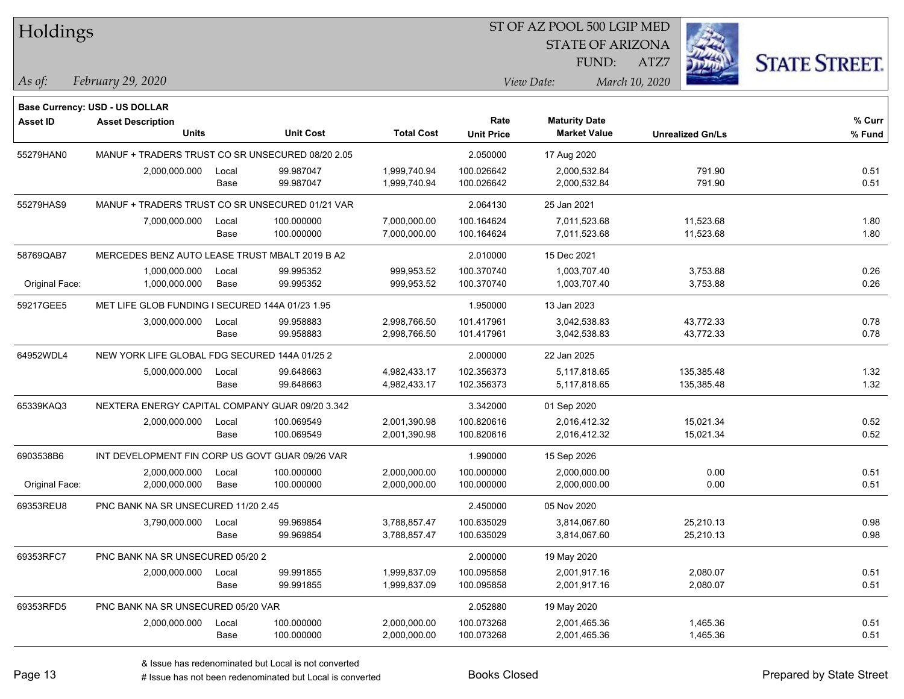| Holdings        |                                                                |               |                          |                              |                           | ST OF AZ POOL 500 LGIP MED                  |                         |                      |
|-----------------|----------------------------------------------------------------|---------------|--------------------------|------------------------------|---------------------------|---------------------------------------------|-------------------------|----------------------|
|                 |                                                                |               |                          |                              |                           | <b>STATE OF ARIZONA</b>                     |                         |                      |
|                 |                                                                |               |                          |                              |                           | FUND:                                       | ATZ7                    | <b>STATE STREET.</b> |
| $\vert$ As of:  | February 29, 2020                                              |               |                          |                              |                           | View Date:                                  | March 10, 2020          |                      |
|                 |                                                                |               |                          |                              |                           |                                             |                         |                      |
|                 | Base Currency: USD - US DOLLAR                                 |               |                          |                              |                           |                                             |                         |                      |
| <b>Asset ID</b> | <b>Asset Description</b><br><b>Units</b>                       |               | <b>Unit Cost</b>         | <b>Total Cost</b>            | Rate<br><b>Unit Price</b> | <b>Maturity Date</b><br><b>Market Value</b> | <b>Unrealized Gn/Ls</b> | % Curr<br>% Fund     |
|                 |                                                                |               |                          |                              |                           |                                             |                         |                      |
| 55279HAN0       | MANUF + TRADERS TRUST CO SR UNSECURED 08/20 2.05               |               |                          |                              | 2.050000                  | 17 Aug 2020                                 | 791.90                  |                      |
|                 | 2,000,000.000                                                  | Local<br>Base | 99.987047<br>99.987047   | 1,999,740.94<br>1,999,740.94 | 100.026642<br>100.026642  | 2,000,532.84<br>2,000,532.84                | 791.90                  | 0.51<br>0.51         |
|                 |                                                                |               |                          |                              |                           |                                             |                         |                      |
| 55279HAS9       | MANUF + TRADERS TRUST CO SR UNSECURED 01/21 VAR                |               |                          |                              | 2.064130                  | 25 Jan 2021                                 |                         |                      |
|                 | 7,000,000.000                                                  | Local<br>Base | 100.000000<br>100.000000 | 7,000,000.00<br>7,000,000.00 | 100.164624<br>100.164624  | 7,011,523.68<br>7,011,523.68                | 11,523.68<br>11,523.68  | 1.80<br>1.80         |
|                 | MERCEDES BENZ AUTO LEASE TRUST MBALT 2019 B A2                 |               |                          |                              |                           |                                             |                         |                      |
| 58769QAB7       | 1,000,000.000                                                  |               |                          | 999,953.52                   | 2.010000                  | 15 Dec 2021                                 |                         |                      |
| Original Face:  | 1,000,000.000                                                  | Local<br>Base | 99.995352<br>99.995352   | 999,953.52                   | 100.370740<br>100.370740  | 1,003,707.40<br>1,003,707.40                | 3,753.88<br>3,753.88    | 0.26<br>0.26         |
|                 |                                                                |               |                          |                              |                           |                                             |                         |                      |
| 59217GEE5       | MET LIFE GLOB FUNDING I SECURED 144A 01/23 1.95                |               | 99.958883                |                              | 1.950000<br>101.417961    | 13 Jan 2023                                 |                         |                      |
|                 | 3,000,000.000                                                  | Local<br>Base | 99.958883                | 2,998,766.50<br>2,998,766.50 | 101.417961                | 3,042,538.83<br>3,042,538.83                | 43,772.33<br>43,772.33  | 0.78<br>0.78         |
|                 |                                                                |               |                          |                              |                           |                                             |                         |                      |
| 64952WDL4       | NEW YORK LIFE GLOBAL FDG SECURED 144A 01/25 2<br>5,000,000.000 | Local         | 99.648663                | 4,982,433.17                 | 2.000000<br>102.356373    | 22 Jan 2025<br>5,117,818.65                 | 135,385.48              | 1.32                 |
|                 |                                                                | Base          | 99.648663                | 4,982,433.17                 | 102.356373                | 5,117,818.65                                | 135,385.48              | 1.32                 |
| 65339KAQ3       | NEXTERA ENERGY CAPITAL COMPANY GUAR 09/20 3.342                |               |                          |                              |                           |                                             |                         |                      |
|                 |                                                                |               |                          |                              | 3.342000                  | 01 Sep 2020                                 |                         |                      |
|                 | 2,000,000.000                                                  | Local<br>Base | 100.069549<br>100.069549 | 2,001,390.98<br>2,001,390.98 | 100.820616<br>100.820616  | 2,016,412.32<br>2,016,412.32                | 15,021.34<br>15,021.34  | 0.52<br>0.52         |
|                 |                                                                |               |                          |                              |                           |                                             |                         |                      |
| 6903538B6       | INT DEVELOPMENT FIN CORP US GOVT GUAR 09/26 VAR                |               | 100.000000               | 2,000,000.00                 | 1.990000<br>100.000000    | 15 Sep 2026<br>2,000,000.00                 | 0.00                    | 0.51                 |
| Original Face:  | 2,000,000.000<br>2,000,000.000                                 | Local<br>Base | 100.000000               | 2,000,000.00                 | 100.000000                | 2,000,000.00                                | 0.00                    | 0.51                 |
| 69353REU8       | PNC BANK NA SR UNSECURED 11/20 2.45                            |               |                          |                              | 2.450000                  | 05 Nov 2020                                 |                         |                      |
|                 | 3,790,000.000                                                  | Local         | 99.969854                | 3,788,857.47                 | 100.635029                | 3,814,067.60                                | 25,210.13               | 0.98                 |
|                 |                                                                | Base          | 99.969854                | 3,788,857.47                 | 100.635029                | 3,814,067.60                                | 25,210.13               | 0.98                 |
|                 |                                                                |               |                          |                              | 2.000000                  |                                             |                         |                      |
| 69353RFC7       | PNC BANK NA SR UNSECURED 05/20 2<br>2,000,000.000              |               | 99.991855                | 1,999,837.09                 | 100.095858                | 19 May 2020<br>2,001,917.16                 | 2,080.07                |                      |
|                 |                                                                | Local<br>Base | 99.991855                | 1,999,837.09                 | 100.095858                | 2,001,917.16                                | 2,080.07                | 0.51<br>0.51         |
| 69353RFD5       | PNC BANK NA SR UNSECURED 05/20 VAR                             |               |                          |                              | 2.052880                  | 19 May 2020                                 |                         |                      |
|                 | 2,000,000.000                                                  | Local         | 100.000000               | 2,000,000.00                 | 100.073268                | 2,001,465.36                                | 1,465.36                | 0.51                 |
|                 |                                                                | Base          | 100.000000               | 2,000,000.00                 | 100.073268                | 2,001,465.36                                | 1,465.36                | 0.51                 |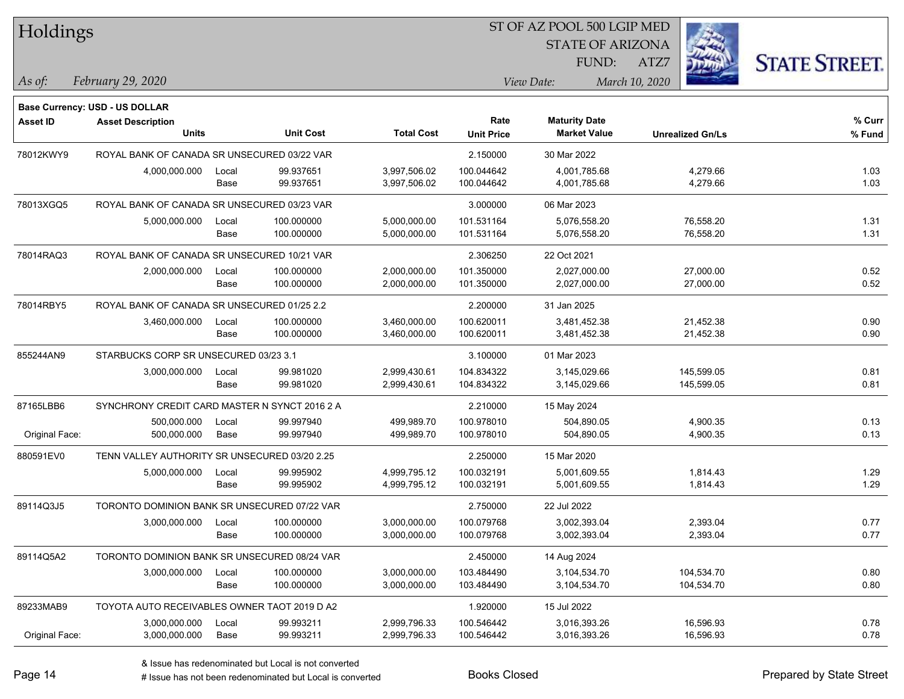| Holdings        |                                               |       |                  |                   | ST OF AZ POOL 500 LGIP MED |                                             |                         |                      |  |  |
|-----------------|-----------------------------------------------|-------|------------------|-------------------|----------------------------|---------------------------------------------|-------------------------|----------------------|--|--|
|                 |                                               |       |                  |                   |                            | <b>STATE OF ARIZONA</b>                     |                         |                      |  |  |
|                 |                                               |       |                  |                   |                            | FUND:                                       | ATZ7                    | <b>STATE STREET.</b> |  |  |
| $\vert$ As of:  | February 29, 2020                             |       |                  |                   |                            | View Date:                                  | March 10, 2020          |                      |  |  |
|                 |                                               |       |                  |                   |                            |                                             |                         |                      |  |  |
|                 | <b>Base Currency: USD - US DOLLAR</b>         |       |                  |                   |                            |                                             |                         |                      |  |  |
| <b>Asset ID</b> | <b>Asset Description</b><br>Units             |       | <b>Unit Cost</b> | <b>Total Cost</b> | Rate<br><b>Unit Price</b>  | <b>Maturity Date</b><br><b>Market Value</b> | <b>Unrealized Gn/Ls</b> | % Curr<br>$%$ Fund   |  |  |
| 78012KWY9       | ROYAL BANK OF CANADA SR UNSECURED 03/22 VAR   |       |                  |                   | 2.150000                   | 30 Mar 2022                                 |                         |                      |  |  |
|                 | 4,000,000.000                                 | Local | 99.937651        | 3,997,506.02      | 100.044642                 | 4,001,785.68                                | 4,279.66                | 1.03                 |  |  |
|                 |                                               | Base  | 99.937651        | 3,997,506.02      | 100.044642                 | 4,001,785.68                                | 4,279.66                | 1.03                 |  |  |
| 78013XGQ5       | ROYAL BANK OF CANADA SR UNSECURED 03/23 VAR   |       |                  |                   | 3.000000                   | 06 Mar 2023                                 |                         |                      |  |  |
|                 | 5,000,000.000                                 | Local | 100.000000       | 5,000,000.00      | 101.531164                 | 5,076,558.20                                | 76,558.20               | 1.31                 |  |  |
|                 |                                               | Base  | 100.000000       | 5,000,000.00      | 101.531164                 | 5,076,558.20                                | 76,558.20               | 1.31                 |  |  |
| 78014RAQ3       | ROYAL BANK OF CANADA SR UNSECURED 10/21 VAR   |       |                  |                   | 2.306250                   | 22 Oct 2021                                 |                         |                      |  |  |
|                 | 2,000,000.000                                 | Local | 100.000000       | 2,000,000.00      | 101.350000                 | 2,027,000.00                                | 27,000.00               | 0.52                 |  |  |
|                 |                                               | Base  | 100.000000       | 2,000,000.00      | 101.350000                 | 2,027,000.00                                | 27,000.00               | 0.52                 |  |  |
| 78014RBY5       | ROYAL BANK OF CANADA SR UNSECURED 01/25 2.2   |       |                  |                   | 2.200000                   | 31 Jan 2025                                 |                         |                      |  |  |
|                 | 3,460,000.000                                 | Local | 100.000000       | 3,460,000.00      | 100.620011                 | 3,481,452.38                                | 21,452.38               | 0.90                 |  |  |
|                 |                                               | Base  | 100.000000       | 3,460,000.00      | 100.620011                 | 3,481,452.38                                | 21,452.38               | 0.90                 |  |  |
| 855244AN9       | STARBUCKS CORP SR UNSECURED 03/23 3.1         |       |                  |                   | 3.100000                   | 01 Mar 2023                                 |                         |                      |  |  |
|                 | 3,000,000.000                                 | Local | 99.981020        | 2,999,430.61      | 104.834322                 | 3,145,029.66                                | 145,599.05              | 0.81                 |  |  |
|                 |                                               | Base  | 99.981020        | 2,999,430.61      | 104.834322                 | 3,145,029.66                                | 145,599.05              | 0.81                 |  |  |
| 87165LBB6       | SYNCHRONY CREDIT CARD MASTER N SYNCT 2016 2 A |       |                  |                   | 2.210000                   | 15 May 2024                                 |                         |                      |  |  |
|                 | 500,000.000                                   | Local | 99.997940        | 499,989.70        | 100.978010                 | 504,890.05                                  | 4,900.35                | 0.13                 |  |  |
| Original Face:  | 500,000.000                                   | Base  | 99.997940        | 499,989.70        | 100.978010                 | 504,890.05                                  | 4,900.35                | 0.13                 |  |  |
| 880591EV0       | TENN VALLEY AUTHORITY SR UNSECURED 03/20 2.25 |       |                  |                   | 2.250000                   | 15 Mar 2020                                 |                         |                      |  |  |
|                 | 5,000,000.000                                 | Local | 99.995902        | 4,999,795.12      | 100.032191                 | 5,001,609.55                                | 1,814.43                | 1.29                 |  |  |
|                 |                                               | Base  | 99.995902        | 4,999,795.12      | 100.032191                 | 5,001,609.55                                | 1,814.43                | 1.29                 |  |  |
| 89114Q3J5       | TORONTO DOMINION BANK SR UNSECURED 07/22 VAR  |       |                  |                   | 2.750000                   | 22 Jul 2022                                 |                         |                      |  |  |
|                 | 3,000,000.000                                 | Local | 100.000000       | 3,000,000.00      | 100.079768                 | 3,002,393.04                                | 2,393.04                | 0.77                 |  |  |
|                 |                                               | Base  | 100.000000       | 3,000,000.00      | 100.079768                 | 3,002,393.04                                | 2,393.04                | 0.77                 |  |  |
| 89114Q5A2       | TORONTO DOMINION BANK SR UNSECURED 08/24 VAR  |       |                  |                   | 2.450000                   | 14 Aug 2024                                 |                         |                      |  |  |
|                 | 3,000,000.000                                 | Local | 100.000000       | 3,000,000.00      | 103.484490                 | 3,104,534.70                                | 104,534.70              | 0.80                 |  |  |
|                 |                                               | Base  | 100.000000       | 3,000,000.00      | 103.484490                 | 3,104,534.70                                | 104,534.70              | 0.80                 |  |  |
| 89233MAB9       | TOYOTA AUTO RECEIVABLES OWNER TAOT 2019 D A2  |       |                  |                   | 1.920000                   | 15 Jul 2022                                 |                         |                      |  |  |
|                 | 3,000,000.000                                 | Local | 99.993211        | 2,999,796.33      | 100.546442                 | 3,016,393.26                                | 16,596.93               | 0.78                 |  |  |
| Original Face:  | 3,000,000.000                                 | Base  | 99.993211        | 2,999,796.33      | 100.546442                 | 3,016,393.26                                | 16,596.93               | 0.78                 |  |  |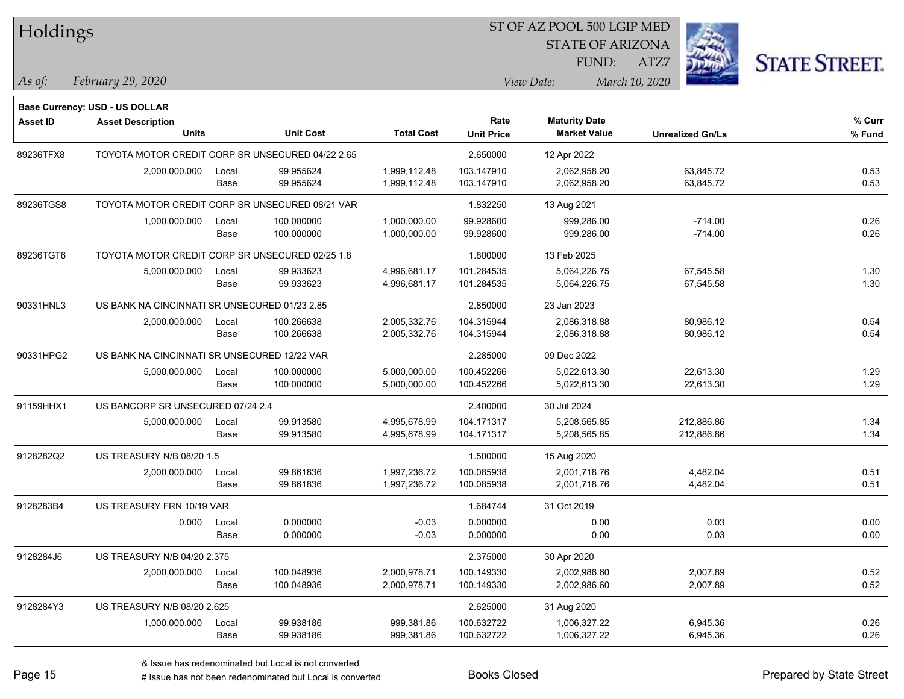| Holdings        |                                                            |       |                  |                   | ST OF AZ POOL 500 LGIP MED |                         |                         |                      |  |  |
|-----------------|------------------------------------------------------------|-------|------------------|-------------------|----------------------------|-------------------------|-------------------------|----------------------|--|--|
|                 |                                                            |       |                  |                   |                            | <b>STATE OF ARIZONA</b> |                         |                      |  |  |
|                 |                                                            |       |                  |                   |                            | FUND:                   | ATZ7                    | <b>STATE STREET.</b> |  |  |
| As of:          | February 29, 2020                                          |       |                  |                   |                            | View Date:              | March 10, 2020          |                      |  |  |
|                 |                                                            |       |                  |                   |                            |                         |                         |                      |  |  |
| <b>Asset ID</b> | Base Currency: USD - US DOLLAR<br><b>Asset Description</b> |       |                  |                   | Rate                       | <b>Maturity Date</b>    |                         | % Curr               |  |  |
|                 | <b>Units</b>                                               |       | <b>Unit Cost</b> | <b>Total Cost</b> | <b>Unit Price</b>          | <b>Market Value</b>     | <b>Unrealized Gn/Ls</b> | % Fund               |  |  |
| 89236TFX8       | TOYOTA MOTOR CREDIT CORP SR UNSECURED 04/22 2.65           |       |                  |                   | 2.650000                   | 12 Apr 2022             |                         |                      |  |  |
|                 | 2,000,000.000                                              | Local | 99.955624        | 1,999,112.48      | 103.147910                 | 2,062,958.20            | 63,845.72               | 0.53                 |  |  |
|                 |                                                            | Base  | 99.955624        | 1,999,112.48      | 103.147910                 | 2,062,958.20            | 63,845.72               | 0.53                 |  |  |
| 89236TGS8       | TOYOTA MOTOR CREDIT CORP SR UNSECURED 08/21 VAR            |       |                  |                   | 1.832250                   | 13 Aug 2021             |                         |                      |  |  |
|                 | 1,000,000.000                                              | Local | 100.000000       | 1,000,000.00      | 99.928600                  | 999,286.00              | $-714.00$               | 0.26                 |  |  |
|                 |                                                            | Base  | 100.000000       | 1,000,000.00      | 99.928600                  | 999,286.00              | $-714.00$               | 0.26                 |  |  |
| 89236TGT6       | TOYOTA MOTOR CREDIT CORP SR UNSECURED 02/25 1.8            |       |                  |                   | 1.800000                   | 13 Feb 2025             |                         |                      |  |  |
|                 | 5,000,000.000                                              | Local | 99.933623        | 4,996,681.17      | 101.284535                 | 5,064,226.75            | 67,545.58               | 1.30                 |  |  |
|                 |                                                            | Base  | 99.933623        | 4,996,681.17      | 101.284535                 | 5,064,226.75            | 67,545.58               | 1.30                 |  |  |
| 90331HNL3       | US BANK NA CINCINNATI SR UNSECURED 01/23 2.85              |       |                  |                   | 2.850000                   | 23 Jan 2023             |                         |                      |  |  |
|                 | 2,000,000.000                                              | Local | 100.266638       | 2,005,332.76      | 104.315944                 | 2,086,318.88            | 80,986.12               | 0.54                 |  |  |
|                 |                                                            | Base  | 100.266638       | 2,005,332.76      | 104.315944                 | 2,086,318.88            | 80,986.12               | 0.54                 |  |  |
| 90331HPG2       | US BANK NA CINCINNATI SR UNSECURED 12/22 VAR               |       |                  |                   | 2.285000                   | 09 Dec 2022             |                         |                      |  |  |
|                 | 5,000,000.000                                              | Local | 100.000000       | 5,000,000.00      | 100.452266                 | 5,022,613.30            | 22,613.30               | 1.29                 |  |  |
|                 |                                                            | Base  | 100.000000       | 5,000,000.00      | 100.452266                 | 5,022,613.30            | 22,613.30               | 1.29                 |  |  |
| 91159HHX1       | US BANCORP SR UNSECURED 07/24 2.4                          |       |                  |                   | 2.400000                   | 30 Jul 2024             |                         |                      |  |  |
|                 | 5,000,000.000                                              | Local | 99.913580        | 4,995,678.99      | 104.171317                 | 5,208,565.85            | 212,886.86              | 1.34                 |  |  |
|                 |                                                            | Base  | 99.913580        | 4,995,678.99      | 104.171317                 | 5,208,565.85            | 212,886.86              | 1.34                 |  |  |
| 9128282Q2       | US TREASURY N/B 08/20 1.5                                  |       |                  |                   | 1.500000                   | 15 Aug 2020             |                         |                      |  |  |
|                 | 2,000,000.000                                              | Local | 99.861836        | 1,997,236.72      | 100.085938                 | 2,001,718.76            | 4,482.04                | 0.51                 |  |  |
|                 |                                                            | Base  | 99.861836        | 1,997,236.72      | 100.085938                 | 2,001,718.76            | 4,482.04                | 0.51                 |  |  |
| 9128283B4       | US TREASURY FRN 10/19 VAR                                  |       |                  |                   | 1.684744                   | 31 Oct 2019             |                         |                      |  |  |
|                 | 0.000                                                      | Local | 0.000000         | $-0.03$           | 0.000000                   | 0.00                    | 0.03                    | 0.00                 |  |  |
|                 |                                                            | Base  | 0.000000         | $-0.03$           | 0.000000                   | 0.00                    | 0.03                    | 0.00                 |  |  |
| 9128284J6       | US TREASURY N/B 04/20 2.375                                |       |                  |                   | 2.375000                   | 30 Apr 2020             |                         |                      |  |  |
|                 | 2,000,000.000                                              | Local | 100.048936       | 2,000,978.71      | 100.149330                 | 2,002,986.60            | 2,007.89                | 0.52                 |  |  |
|                 |                                                            | Base  | 100.048936       | 2,000,978.71      | 100.149330                 | 2,002,986.60            | 2,007.89                | 0.52                 |  |  |
| 9128284Y3       | US TREASURY N/B 08/20 2.625                                |       |                  |                   | 2.625000                   | 31 Aug 2020             |                         |                      |  |  |
|                 | 1,000,000.000                                              | Local | 99.938186        | 999,381.86        | 100.632722                 | 1,006,327.22            | 6,945.36                | 0.26                 |  |  |
|                 |                                                            | Base  | 99.938186        | 999,381.86        | 100.632722                 | 1,006,327.22            | 6,945.36                | 0.26                 |  |  |

٦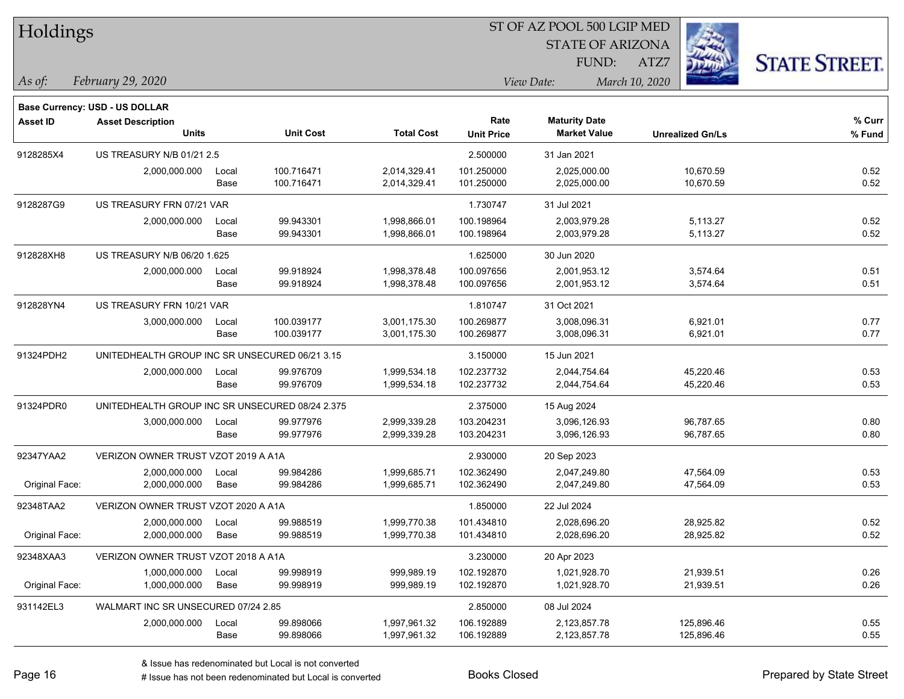| Holdings        |                                                                   |       |                  |                   | ST OF AZ POOL 500 LGIP MED |                         |                         |                      |  |  |  |
|-----------------|-------------------------------------------------------------------|-------|------------------|-------------------|----------------------------|-------------------------|-------------------------|----------------------|--|--|--|
|                 |                                                                   |       |                  |                   |                            | <b>STATE OF ARIZONA</b> |                         |                      |  |  |  |
|                 |                                                                   |       |                  |                   |                            | FUND:                   | ATZ7                    | <b>STATE STREET.</b> |  |  |  |
| $ $ As of:      | February 29, 2020                                                 |       |                  |                   |                            | View Date:              | March 10, 2020          |                      |  |  |  |
|                 |                                                                   |       |                  |                   |                            |                         |                         |                      |  |  |  |
| <b>Asset ID</b> | <b>Base Currency: USD - US DOLLAR</b><br><b>Asset Description</b> |       |                  |                   | Rate                       | <b>Maturity Date</b>    |                         | % Curr               |  |  |  |
|                 | <b>Units</b>                                                      |       | <b>Unit Cost</b> | <b>Total Cost</b> | <b>Unit Price</b>          | <b>Market Value</b>     | <b>Unrealized Gn/Ls</b> | % Fund               |  |  |  |
| 9128285X4       | US TREASURY N/B 01/21 2.5                                         |       |                  |                   | 2.500000                   | 31 Jan 2021             |                         |                      |  |  |  |
|                 | 2,000,000.000                                                     | Local | 100.716471       | 2,014,329.41      | 101.250000                 | 2,025,000.00            | 10,670.59               | 0.52                 |  |  |  |
|                 |                                                                   | Base  | 100.716471       | 2,014,329.41      | 101.250000                 | 2,025,000.00            | 10,670.59               | 0.52                 |  |  |  |
| 9128287G9       | US TREASURY FRN 07/21 VAR                                         |       |                  |                   | 1.730747                   | 31 Jul 2021             |                         |                      |  |  |  |
|                 | 2,000,000.000                                                     | Local | 99.943301        | 1,998,866.01      | 100.198964                 | 2,003,979.28            | 5,113.27                | 0.52                 |  |  |  |
|                 |                                                                   | Base  | 99.943301        | 1,998,866.01      | 100.198964                 | 2,003,979.28            | 5,113.27                | 0.52                 |  |  |  |
| 912828XH8       | US TREASURY N/B 06/20 1.625                                       |       |                  |                   | 1.625000                   | 30 Jun 2020             |                         |                      |  |  |  |
|                 | 2,000,000.000                                                     | Local | 99.918924        | 1,998,378.48      | 100.097656                 | 2,001,953.12            | 3,574.64                | 0.51                 |  |  |  |
|                 |                                                                   | Base  | 99.918924        | 1,998,378.48      | 100.097656                 | 2,001,953.12            | 3,574.64                | 0.51                 |  |  |  |
| 912828YN4       | US TREASURY FRN 10/21 VAR                                         |       |                  |                   | 1.810747                   | 31 Oct 2021             |                         |                      |  |  |  |
|                 | 3,000,000.000                                                     | Local | 100.039177       | 3,001,175.30      | 100.269877                 | 3,008,096.31            | 6,921.01                | 0.77                 |  |  |  |
|                 |                                                                   | Base  | 100.039177       | 3,001,175.30      | 100.269877                 | 3,008,096.31            | 6,921.01                | 0.77                 |  |  |  |
| 91324PDH2       | UNITEDHEALTH GROUP INC SR UNSECURED 06/21 3.15                    |       |                  |                   | 3.150000                   | 15 Jun 2021             |                         |                      |  |  |  |
|                 | 2,000,000.000                                                     | Local | 99.976709        | 1,999,534.18      | 102.237732                 | 2,044,754.64            | 45,220.46               | 0.53                 |  |  |  |
|                 |                                                                   | Base  | 99.976709        | 1,999,534.18      | 102.237732                 | 2,044,754.64            | 45,220.46               | 0.53                 |  |  |  |
| 91324PDR0       | UNITEDHEALTH GROUP INC SR UNSECURED 08/24 2.375                   |       |                  |                   | 2.375000                   | 15 Aug 2024             |                         |                      |  |  |  |
|                 | 3,000,000.000                                                     | Local | 99.977976        | 2,999,339.28      | 103.204231                 | 3,096,126.93            | 96,787.65               | 0.80                 |  |  |  |
|                 |                                                                   | Base  | 99.977976        | 2,999,339.28      | 103.204231                 | 3,096,126.93            | 96,787.65               | 0.80                 |  |  |  |
| 92347YAA2       | VERIZON OWNER TRUST VZOT 2019 A A1A                               |       |                  |                   | 2.930000                   | 20 Sep 2023             |                         |                      |  |  |  |
|                 | 2,000,000.000                                                     | Local | 99.984286        | 1,999,685.71      | 102.362490                 | 2,047,249.80            | 47,564.09               | 0.53                 |  |  |  |
| Original Face:  | 2,000,000.000                                                     | Base  | 99.984286        | 1,999,685.71      | 102.362490                 | 2,047,249.80            | 47,564.09               | 0.53                 |  |  |  |
| 92348TAA2       | VERIZON OWNER TRUST VZOT 2020 A A1A                               |       |                  |                   | 1.850000                   | 22 Jul 2024             |                         |                      |  |  |  |
|                 | 2,000,000.000                                                     | Local | 99.988519        | 1,999,770.38      | 101.434810                 | 2,028,696.20            | 28,925.82               | 0.52                 |  |  |  |
| Original Face:  | 2,000,000.000                                                     | Base  | 99.988519        | 1,999,770.38      | 101.434810                 | 2,028,696.20            | 28,925.82               | 0.52                 |  |  |  |
| 92348XAA3       | VERIZON OWNER TRUST VZOT 2018 A A1A                               |       |                  |                   | 3.230000                   | 20 Apr 2023             |                         |                      |  |  |  |
|                 | 1,000,000.000                                                     | Local | 99.998919        | 999,989.19        | 102.192870                 | 1,021,928.70            | 21,939.51               | 0.26                 |  |  |  |
| Original Face:  | 1,000,000.000                                                     | Base  | 99.998919        | 999,989.19        | 102.192870                 | 1,021,928.70            | 21,939.51               | 0.26                 |  |  |  |
| 931142EL3       | WALMART INC SR UNSECURED 07/24 2.85                               |       |                  |                   | 2.850000                   | 08 Jul 2024             |                         |                      |  |  |  |
|                 | 2,000,000.000                                                     | Local | 99.898066        | 1,997,961.32      | 106.192889                 | 2,123,857.78            | 125,896.46              | 0.55                 |  |  |  |
|                 |                                                                   | Base  | 99.898066        | 1,997,961.32      | 106.192889                 | 2,123,857.78            | 125,896.46              | 0.55                 |  |  |  |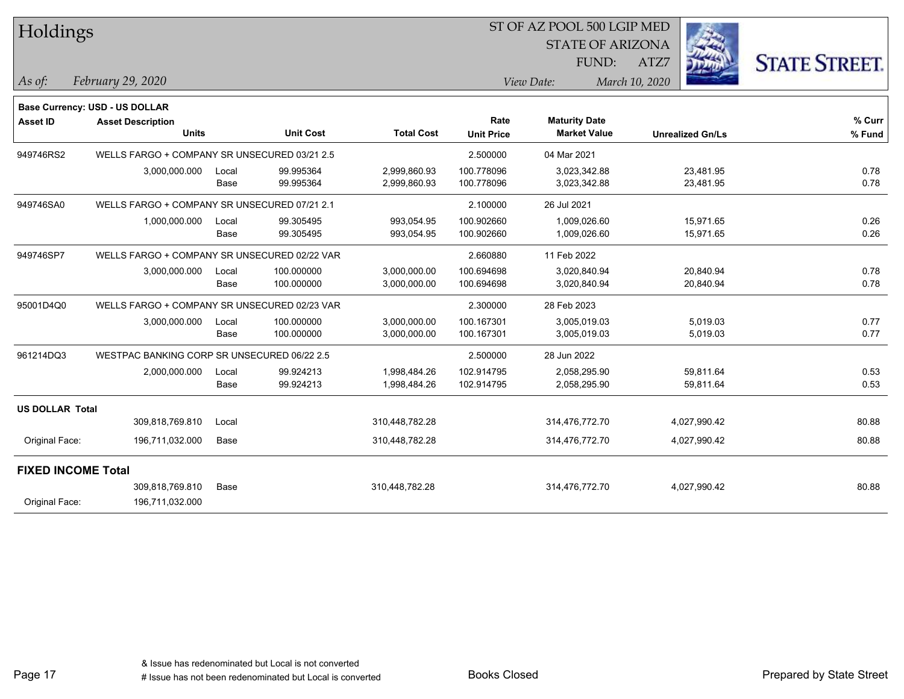| Holdings                  |                                              |               |                        |                              | ST OF AZ POOL 500 LGIP MED |                                             |                         |                        |                      |
|---------------------------|----------------------------------------------|---------------|------------------------|------------------------------|----------------------------|---------------------------------------------|-------------------------|------------------------|----------------------|
|                           |                                              |               |                        |                              |                            | <b>STATE OF ARIZONA</b>                     |                         |                        |                      |
|                           |                                              |               |                        |                              |                            | FUND:                                       | ATZ7                    |                        | <b>STATE STREET.</b> |
| $\vert$ As of:            | February 29, 2020                            |               |                        |                              |                            | View Date:                                  | March 10, 2020          |                        |                      |
|                           | Base Currency: USD - US DOLLAR               |               |                        |                              |                            |                                             |                         |                        |                      |
| <b>Asset ID</b>           | <b>Asset Description</b><br><b>Units</b>     |               | <b>Unit Cost</b>       | <b>Total Cost</b>            | Rate<br><b>Unit Price</b>  | <b>Maturity Date</b><br><b>Market Value</b> | <b>Unrealized Gn/Ls</b> |                        | % Curr<br>% Fund     |
| 949746RS2                 | WELLS FARGO + COMPANY SR UNSECURED 03/21 2.5 |               |                        |                              | 2.500000                   | 04 Mar 2021                                 |                         |                        |                      |
|                           | 3,000,000.000                                | Local<br>Base | 99.995364<br>99.995364 | 2,999,860.93<br>2,999,860.93 | 100.778096<br>100.778096   | 3,023,342.88<br>3,023,342.88                |                         | 23,481.95<br>23,481.95 | 0.78<br>0.78         |
| 949746SA0                 | WELLS FARGO + COMPANY SR UNSECURED 07/21 2.1 |               |                        |                              | 2.100000                   | 26 Jul 2021                                 |                         |                        |                      |
|                           | 1,000,000.000                                | Local         | 99.305495              | 993,054.95                   | 100.902660                 | 1,009,026.60                                |                         | 15,971.65              | 0.26                 |
|                           |                                              | Base          | 99.305495              | 993,054.95                   | 100.902660                 | 1,009,026.60                                |                         | 15,971.65              | 0.26                 |
| 949746SP7                 | WELLS FARGO + COMPANY SR UNSECURED 02/22 VAR |               |                        |                              | 2.660880                   | 11 Feb 2022                                 |                         |                        |                      |
|                           | 3,000,000.000                                | Local         | 100.000000             | 3,000,000.00                 | 100.694698                 | 3,020,840.94                                |                         | 20,840.94              | 0.78                 |
|                           |                                              | Base          | 100.000000             | 3,000,000.00                 | 100.694698                 | 3,020,840.94                                |                         | 20,840.94              | 0.78                 |
| 95001D4Q0                 | WELLS FARGO + COMPANY SR UNSECURED 02/23 VAR |               |                        |                              | 2.300000                   | 28 Feb 2023                                 |                         |                        |                      |
|                           | 3,000,000.000                                | Local         | 100.000000             | 3,000,000.00                 | 100.167301                 | 3,005,019.03                                |                         | 5,019.03               | 0.77                 |
|                           |                                              | Base          | 100.000000             | 3,000,000.00                 | 100.167301                 | 3,005,019.03                                |                         | 5,019.03               | 0.77                 |
| 961214DQ3                 | WESTPAC BANKING CORP SR UNSECURED 06/22 2.5  |               |                        |                              | 2.500000                   | 28 Jun 2022                                 |                         |                        |                      |
|                           | 2,000,000.000                                | Local         | 99.924213              | 1,998,484.26                 | 102.914795                 | 2,058,295.90                                |                         | 59,811.64              | 0.53                 |
|                           |                                              | Base          | 99.924213              | 1,998,484.26                 | 102.914795                 | 2,058,295.90                                |                         | 59,811.64              | 0.53                 |
| <b>US DOLLAR Total</b>    |                                              |               |                        |                              |                            |                                             |                         |                        |                      |
|                           | 309,818,769.810                              | Local         |                        | 310,448,782.28               |                            | 314,476,772.70                              |                         | 4,027,990.42           | 80.88                |
| Original Face:            | 196,711,032.000                              | Base          |                        | 310,448,782.28               |                            | 314,476,772.70                              |                         | 4,027,990.42           | 80.88                |
| <b>FIXED INCOME Total</b> |                                              |               |                        |                              |                            |                                             |                         |                        |                      |
|                           | 309,818,769.810                              | Base          |                        | 310,448,782.28               |                            | 314,476,772.70                              |                         | 4,027,990.42           | 80.88                |
| Original Face:            | 196,711,032.000                              |               |                        |                              |                            |                                             |                         |                        |                      |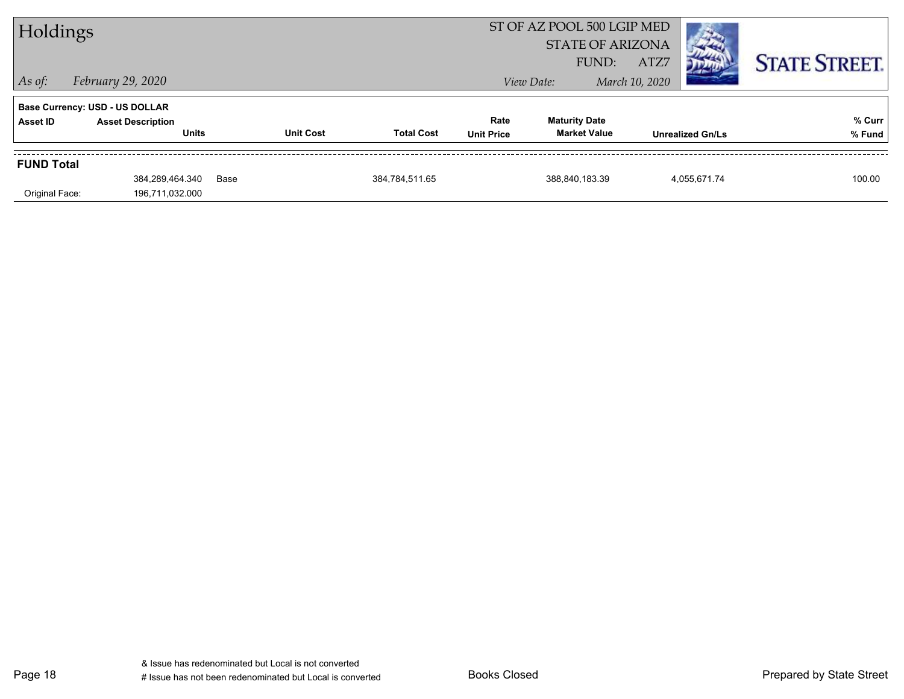| Holdings          |                                          |      |                  |                   |                           | ST OF AZ POOL 500 LGIP MED<br><b>STATE OF ARIZONA</b><br>FUND: | ATZ7           |                         | <b>STATE STREET.</b> |
|-------------------|------------------------------------------|------|------------------|-------------------|---------------------------|----------------------------------------------------------------|----------------|-------------------------|----------------------|
| $ $ As of:        | February 29, 2020                        |      |                  |                   |                           | View Date:                                                     | March 10, 2020 |                         |                      |
|                   | <b>Base Currency: USD - US DOLLAR</b>    |      |                  |                   |                           |                                                                |                |                         |                      |
| Asset ID          | <b>Asset Description</b><br><b>Units</b> |      | <b>Unit Cost</b> | <b>Total Cost</b> | Rate<br><b>Unit Price</b> | <b>Maturity Date</b><br><b>Market Value</b>                    |                | <b>Unrealized Gn/Ls</b> | % Curr<br>% Fund     |
| <b>FUND Total</b> |                                          |      |                  |                   |                           |                                                                |                |                         |                      |
| Original Face:    | 384.289.464.340<br>196,711,032.000       | Base |                  | 384,784,511.65    |                           | 388.840.183.39                                                 |                | 4.055.671.74            | 100.00               |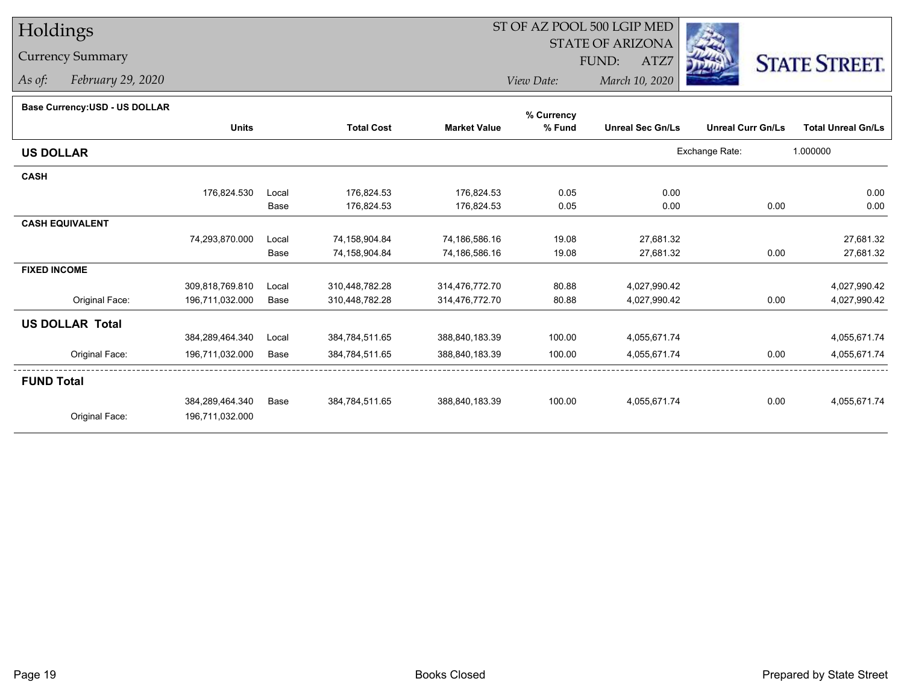# Holdings

### Currency Summary

*As of: February 29, 2020*

## ST OF AZ POOL 500 LGIP MED

 STATE OF ARIZONAFUND:

ATZ7



*View Date:March 10, 2020*

#### **Base Currency:USD - US DOLLAR**

| <b>Unreal Sec Gn/Ls</b> | <b>Unreal Curr Gn/Ls</b><br>Exchange Rate:                                   | <b>Total Unreal Gn/Ls</b><br>1.000000 |
|-------------------------|------------------------------------------------------------------------------|---------------------------------------|
|                         |                                                                              |                                       |
|                         |                                                                              |                                       |
|                         |                                                                              |                                       |
| 0.00                    |                                                                              | 0.00                                  |
| 0.00                    | 0.00                                                                         | 0.00                                  |
|                         |                                                                              |                                       |
| 27,681.32               |                                                                              | 27,681.32                             |
| 27,681.32               | 0.00                                                                         | 27,681.32                             |
|                         |                                                                              |                                       |
|                         |                                                                              | 4,027,990.42                          |
|                         | 0.00                                                                         | 4,027,990.42                          |
|                         |                                                                              |                                       |
|                         |                                                                              | 4,055,671.74                          |
|                         | 0.00                                                                         | 4,055,671.74                          |
|                         |                                                                              |                                       |
|                         | 0.00                                                                         | 4,055,671.74                          |
|                         |                                                                              |                                       |
|                         | 4,027,990.42<br>4,027,990.42<br>4,055,671.74<br>4,055,671.74<br>4,055,671.74 |                                       |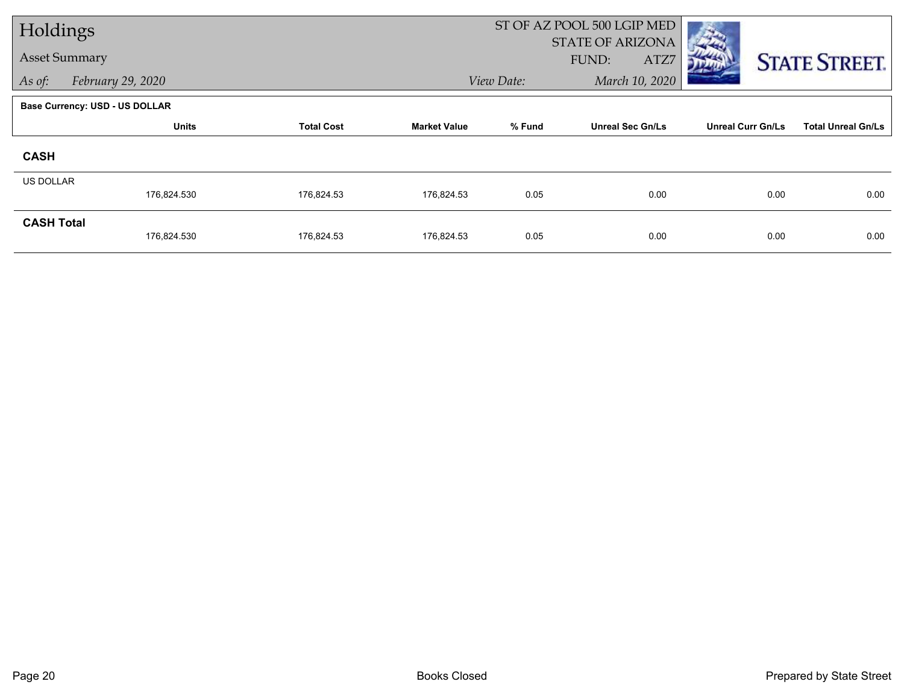| Holdings             |                                       |                   | ST OF AZ POOL 500 LGIP MED |            |                                          |                          |                           |  |
|----------------------|---------------------------------------|-------------------|----------------------------|------------|------------------------------------------|--------------------------|---------------------------|--|
| <b>Asset Summary</b> |                                       |                   |                            |            | <b>STATE OF ARIZONA</b><br>FUND:<br>ATZ7 |                          | <b>STATE STREET.</b>      |  |
| As of:               | February 29, 2020                     |                   |                            | View Date: | March 10, 2020                           |                          |                           |  |
|                      | <b>Base Currency: USD - US DOLLAR</b> |                   |                            |            |                                          |                          |                           |  |
|                      | <b>Units</b>                          | <b>Total Cost</b> | <b>Market Value</b>        | % Fund     | <b>Unreal Sec Gn/Ls</b>                  | <b>Unreal Curr Gn/Ls</b> | <b>Total Unreal Gn/Ls</b> |  |
| <b>CASH</b>          |                                       |                   |                            |            |                                          |                          |                           |  |
| <b>US DOLLAR</b>     |                                       |                   |                            |            |                                          |                          |                           |  |
|                      | 176,824.530                           | 176,824.53        | 176,824.53                 | 0.05       | 0.00                                     | 0.00                     | 0.00                      |  |
| <b>CASH Total</b>    | 176,824.530                           | 176,824.53        | 176,824.53                 | 0.05       | 0.00                                     | 0.00                     | 0.00                      |  |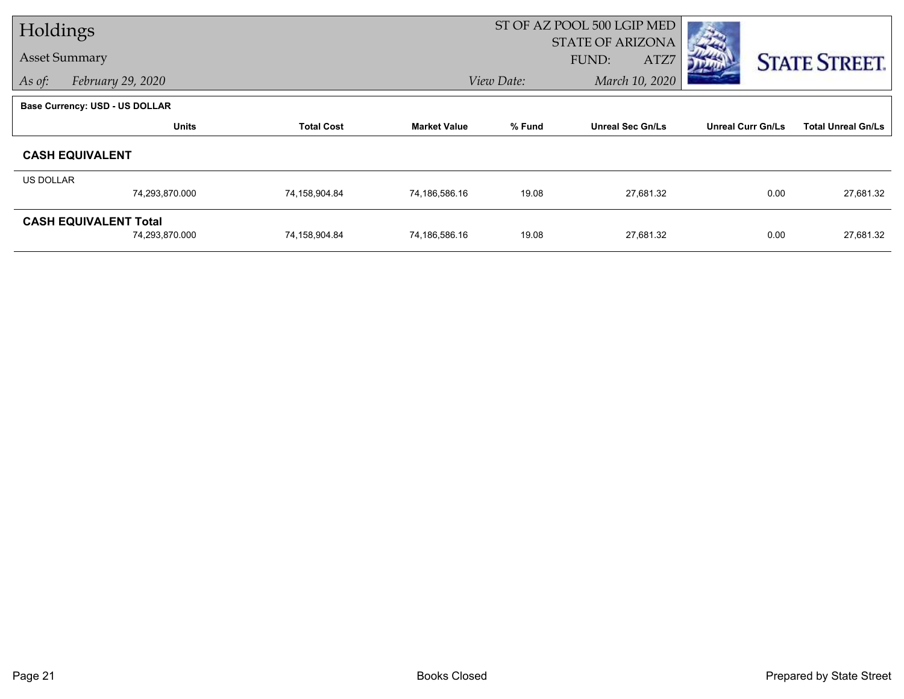| Holdings  |                                |                   | ST OF AZ POOL 500 LGIP MED |                              |                         |                          |                           |
|-----------|--------------------------------|-------------------|----------------------------|------------------------------|-------------------------|--------------------------|---------------------------|
|           |                                |                   |                            |                              | <b>STATE OF ARIZONA</b> |                          |                           |
|           | <b>Asset Summary</b>           |                   |                            |                              | FUND:<br>ATZ7           |                          | <b>STATE STREET.</b>      |
| As of:    | February 29, 2020              |                   |                            | March 10, 2020<br>View Date: |                         |                          |                           |
|           | Base Currency: USD - US DOLLAR |                   |                            |                              |                         |                          |                           |
|           | <b>Units</b>                   | <b>Total Cost</b> | <b>Market Value</b>        | % Fund                       | <b>Unreal Sec Gn/Ls</b> | <b>Unreal Curr Gn/Ls</b> | <b>Total Unreal Gn/Ls</b> |
|           | <b>CASH EQUIVALENT</b>         |                   |                            |                              |                         |                          |                           |
| US DOLLAR |                                |                   |                            |                              |                         |                          |                           |
|           | 74,293,870.000                 | 74,158,904.84     | 74,186,586.16              | 19.08                        | 27,681.32               | 0.00                     | 27,681.32                 |
|           | <b>CASH EQUIVALENT Total</b>   |                   |                            |                              |                         |                          |                           |
|           | 74,293,870.000                 | 74,158,904.84     | 74,186,586.16              | 19.08                        | 27,681.32               | 0.00                     | 27,681.32                 |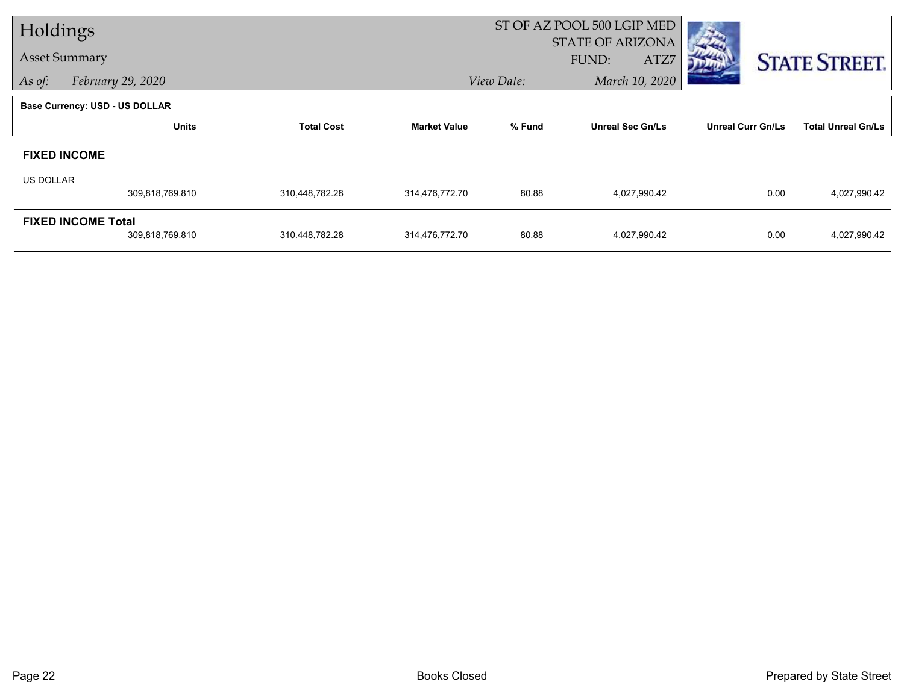| Holdings  |                                       |                   | ST OF AZ POOL 500 LGIP MED |            |                                          |                          |                           |  |
|-----------|---------------------------------------|-------------------|----------------------------|------------|------------------------------------------|--------------------------|---------------------------|--|
|           | <b>Asset Summary</b>                  |                   |                            |            | <b>STATE OF ARIZONA</b><br>FUND:<br>ATZ7 |                          | <b>STATE STREET.</b>      |  |
| As of:    | February 29, 2020                     |                   |                            | View Date: | March 10, 2020                           |                          |                           |  |
|           | <b>Base Currency: USD - US DOLLAR</b> |                   |                            |            |                                          |                          |                           |  |
|           | <b>Units</b>                          | <b>Total Cost</b> | <b>Market Value</b>        | % Fund     | <b>Unreal Sec Gn/Ls</b>                  | <b>Unreal Curr Gn/Ls</b> | <b>Total Unreal Gn/Ls</b> |  |
|           | <b>FIXED INCOME</b>                   |                   |                            |            |                                          |                          |                           |  |
| US DOLLAR |                                       |                   |                            |            |                                          |                          |                           |  |
|           | 309,818,769.810                       | 310,448,782.28    | 314,476,772.70             | 80.88      | 4,027,990.42                             | 0.00                     | 4,027,990.42              |  |
|           | <b>FIXED INCOME Total</b>             |                   |                            |            |                                          |                          |                           |  |
|           | 309,818,769.810                       | 310,448,782.28    | 314,476,772.70             | 80.88      | 4,027,990.42                             | 0.00                     | 4,027,990.42              |  |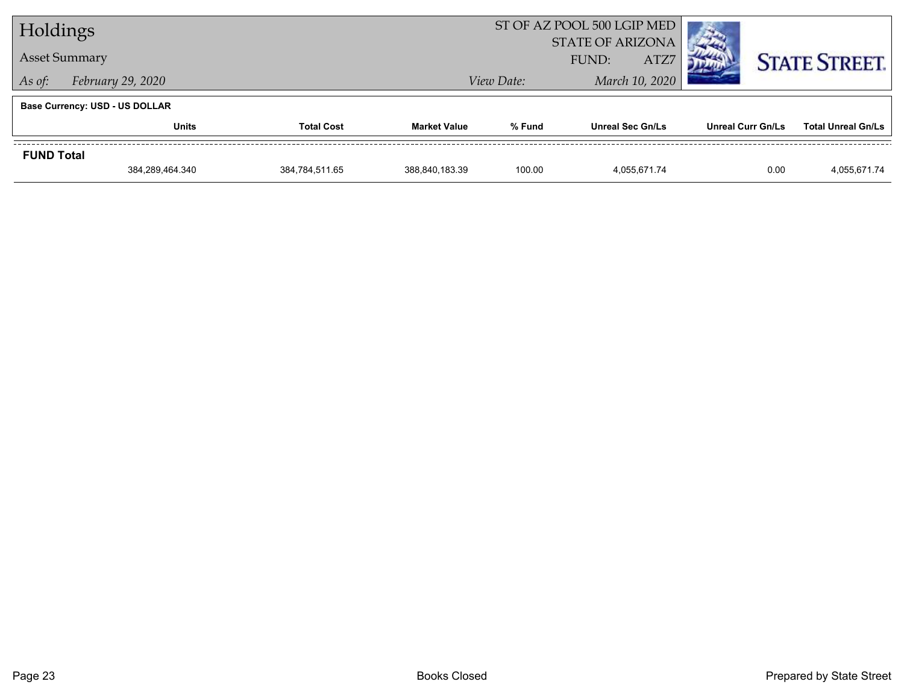| Holdings                          |                                       |                     |                | ST OF AZ POOL 500 LGIP MED               |                          |                           |                      |
|-----------------------------------|---------------------------------------|---------------------|----------------|------------------------------------------|--------------------------|---------------------------|----------------------|
|                                   | <b>Asset Summary</b>                  |                     |                | <b>STATE OF ARIZONA</b><br>ATZ7<br>FUND: |                          |                           | <b>STATE STREET.</b> |
| February 29, 2020<br>As of:       |                                       |                     |                | View Date:                               |                          | March 10, 2020            |                      |
|                                   | <b>Base Currency: USD - US DOLLAR</b> |                     |                |                                          |                          |                           |                      |
| <b>Total Cost</b><br><b>Units</b> |                                       | <b>Market Value</b> | % Fund         | <b>Unreal Sec Gn/Ls</b>                  | <b>Unreal Curr Gn/Ls</b> | <b>Total Unreal Gn/Ls</b> |                      |
| <b>FUND Total</b>                 |                                       |                     |                |                                          |                          |                           |                      |
|                                   | 384,289,464.340                       | 384,784,511.65      | 388,840,183.39 | 100.00                                   | 4.055.671.74             | 0.00                      | 4,055,671.74         |